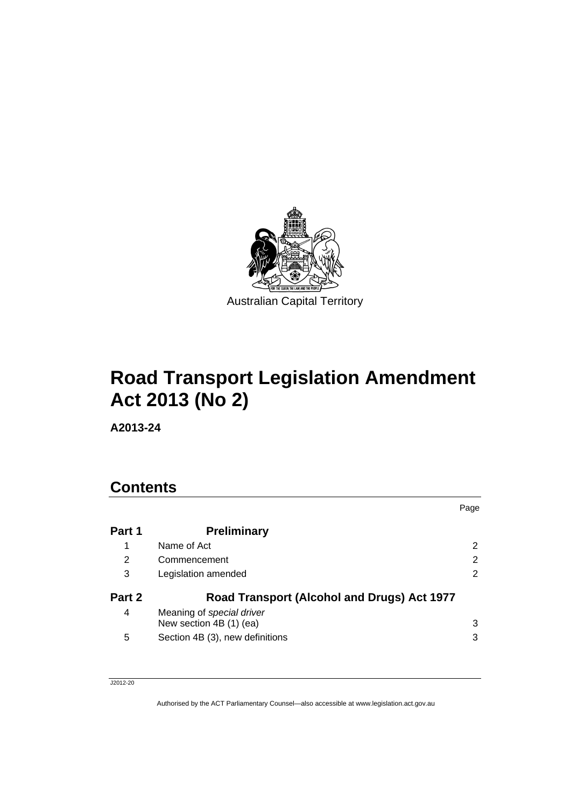

# **Road Transport Legislation Amendment Act 2013 (No 2)**

**A2013-24** 

## **Contents**

|        |                                                      | Page |
|--------|------------------------------------------------------|------|
| Part 1 | <b>Preliminary</b>                                   |      |
| 1      | Name of Act                                          | 2    |
| 2      | Commencement                                         | 2    |
| 3      | Legislation amended                                  | 2    |
| Part 2 | Road Transport (Alcohol and Drugs) Act 1977          |      |
| 4      | Meaning of special driver<br>New section 4B (1) (ea) | 3    |
| 5      | Section 4B (3), new definitions                      | 3    |

J2012-20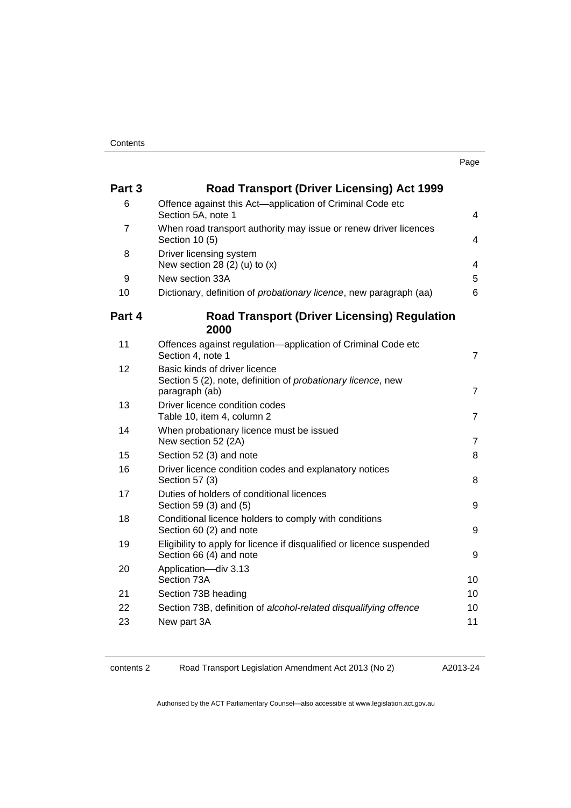| Part 3 | <b>Road Transport (Driver Licensing) Act 1999</b>                                                                       |                         |
|--------|-------------------------------------------------------------------------------------------------------------------------|-------------------------|
| 6      | Offence against this Act-application of Criminal Code etc                                                               |                         |
|        | Section 5A, note 1                                                                                                      | $\overline{4}$          |
| 7      | When road transport authority may issue or renew driver licences<br>Section 10 (5)                                      | 4                       |
| 8      | Driver licensing system<br>New section 28 (2) (u) to $(x)$                                                              | $\overline{\mathbf{4}}$ |
| 9      | New section 33A                                                                                                         | 5                       |
| 10     | Dictionary, definition of probationary licence, new paragraph (aa)                                                      | 6                       |
| Part 4 | <b>Road Transport (Driver Licensing) Regulation</b><br>2000                                                             |                         |
| 11     | Offences against regulation—application of Criminal Code etc<br>Section 4, note 1                                       | 7                       |
| 12     | Basic kinds of driver licence<br>Section 5 (2), note, definition of <i>probationary licence</i> , new<br>paragraph (ab) | $\overline{7}$          |
| 13     | Driver licence condition codes<br>Table 10, item 4, column 2                                                            | $\overline{7}$          |
| 14     | When probationary licence must be issued<br>New section 52 (2A)                                                         | 7                       |
| 15     | Section 52 (3) and note                                                                                                 | 8                       |
| 16     | Driver licence condition codes and explanatory notices<br>Section 57 (3)                                                | 8                       |
| 17     | Duties of holders of conditional licences<br>Section 59 (3) and (5)                                                     | 9                       |
| 18     | Conditional licence holders to comply with conditions<br>Section 60 (2) and note                                        | 9                       |
| 19     | Eligibility to apply for licence if disqualified or licence suspended<br>Section 66 (4) and note                        | 9                       |
| 20     | Application-div 3.13<br>Section 73A                                                                                     | 10                      |
| 21     | Section 73B heading                                                                                                     | 10                      |
| 22     | Section 73B, definition of alcohol-related disqualifying offence                                                        | 10                      |
| 23     | New part 3A                                                                                                             | 11                      |

contents 2 Road Transport Legislation Amendment Act 2013 (No 2)

A2013-24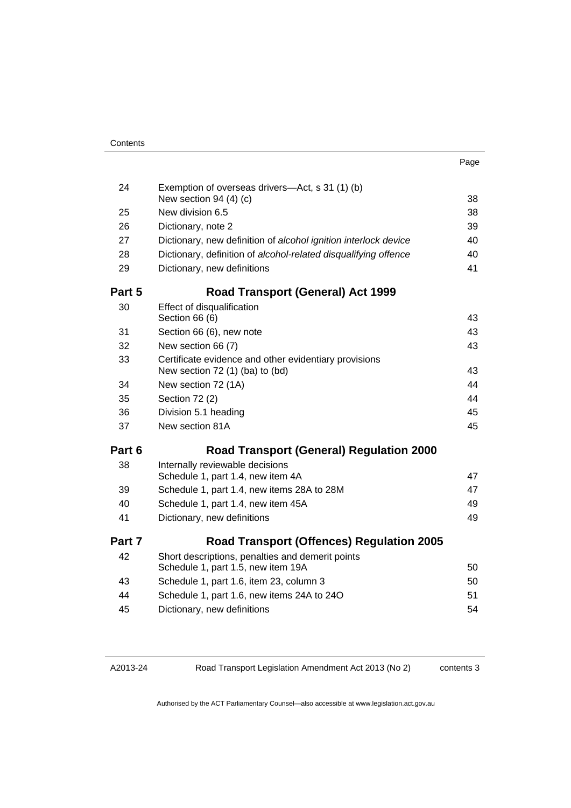| ×<br>× |
|--------|
|--------|

| 24     | Exemption of overseas drivers-Act, s 31 (1) (b)<br>New section 94 (4) (c)                | 38 |
|--------|------------------------------------------------------------------------------------------|----|
| 25     | New division 6.5                                                                         | 38 |
| 26     | Dictionary, note 2                                                                       | 39 |
| 27     | Dictionary, new definition of alcohol ignition interlock device                          | 40 |
| 28     | Dictionary, definition of alcohol-related disqualifying offence                          | 40 |
| 29     | Dictionary, new definitions                                                              | 41 |
| Part 5 | <b>Road Transport (General) Act 1999</b>                                                 |    |
| 30     | Effect of disqualification                                                               |    |
|        | Section 66 (6)                                                                           | 43 |
| 31     | Section 66 (6), new note                                                                 | 43 |
| 32     | New section 66 (7)                                                                       | 43 |
| 33     | Certificate evidence and other evidentiary provisions<br>New section 72 (1) (ba) to (bd) | 43 |
| 34     | New section 72 (1A)                                                                      | 44 |
| 35     | Section 72 (2)                                                                           |    |
| 36     | Division 5.1 heading                                                                     | 45 |
| 37     | New section 81A                                                                          | 45 |
| Part 6 | <b>Road Transport (General) Regulation 2000</b>                                          |    |
| 38     | Internally reviewable decisions                                                          |    |
|        | Schedule 1, part 1.4, new item 4A                                                        | 47 |
| 39     | Schedule 1, part 1.4, new items 28A to 28M                                               | 47 |
| 40     | Schedule 1, part 1.4, new item 45A                                                       | 49 |
| 41     | Dictionary, new definitions                                                              | 49 |
| Part 7 | <b>Road Transport (Offences) Regulation 2005</b>                                         |    |
| 42     | Short descriptions, penalties and demerit points<br>Schedule 1, part 1.5, new item 19A   | 50 |
| 43     | Schedule 1, part 1.6, item 23, column 3                                                  | 50 |
| 44     | Schedule 1, part 1.6, new items 24A to 24O                                               | 51 |
| 45     | Dictionary, new definitions                                                              | 54 |
|        |                                                                                          |    |

A2013-24

Road Transport Legislation Amendment Act 2013 (No 2)

contents 3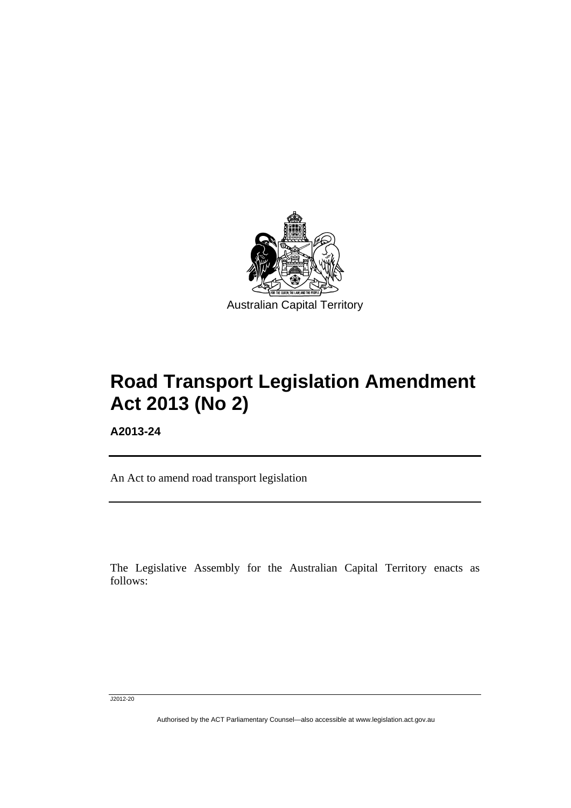

# **Road Transport Legislation Amendment Act 2013 (No 2)**

**A2013-24** 

l

An Act to amend road transport legislation

The Legislative Assembly for the Australian Capital Territory enacts as follows:

J2012-20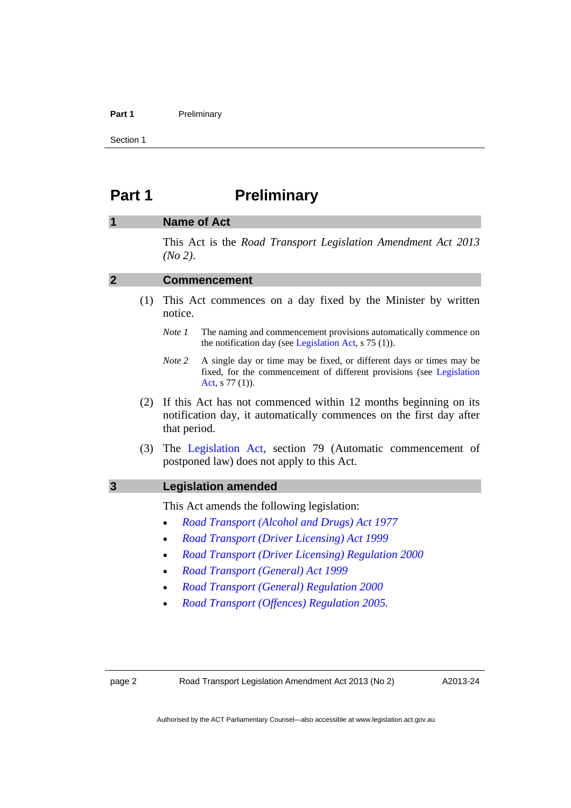#### Part 1 **Preliminary**

Section 1

### <span id="page-5-0"></span>**Part 1** Preliminary

#### <span id="page-5-1"></span>**1 Name of Act**

This Act is the *Road Transport Legislation Amendment Act 2013 (No 2)*.

#### <span id="page-5-2"></span>**2 Commencement**

- (1) This Act commences on a day fixed by the Minister by written notice.
	- *Note 1* The naming and commencement provisions automatically commence on the notification day (see [Legislation Act,](http://www.legislation.act.gov.au/a/2001-14) s 75 (1)).
	- *Note 2* A single day or time may be fixed, or different days or times may be fixed, for the commencement of different provisions (see [Legislation](http://www.legislation.act.gov.au/a/2001-14)  [Act](http://www.legislation.act.gov.au/a/2001-14), s 77 (1)).
- (2) If this Act has not commenced within 12 months beginning on its notification day, it automatically commences on the first day after that period.
- (3) The [Legislation Act,](http://www.legislation.act.gov.au/a/2001-14) section 79 (Automatic commencement of postponed law) does not apply to this Act.

#### <span id="page-5-3"></span>**3 Legislation amended**

This Act amends the following legislation:

- *[Road Transport \(Alcohol and Drugs\) Act 1977](http://www.legislation.act.gov.au/a/1977-17)*
- *[Road Transport \(Driver Licensing\) Act 1999](http://www.legislation.act.gov.au/a/1999-78)*
- *[Road Transport \(Driver Licensing\) Regulation 2000](http://www.legislation.act.gov.au/sl/2000-14)*
- *[Road Transport \(General\) Act 1999](http://www.legislation.act.gov.au/a/1999-77)*
- *[Road Transport \(General\) Regulation 2000](http://www.legislation.act.gov.au/sl/2000-13)*
- *[Road Transport \(Offences\) Regulation 2005](http://www.legislation.act.gov.au/sl/2005-11).*

page 2 Road Transport Legislation Amendment Act 2013 (No 2)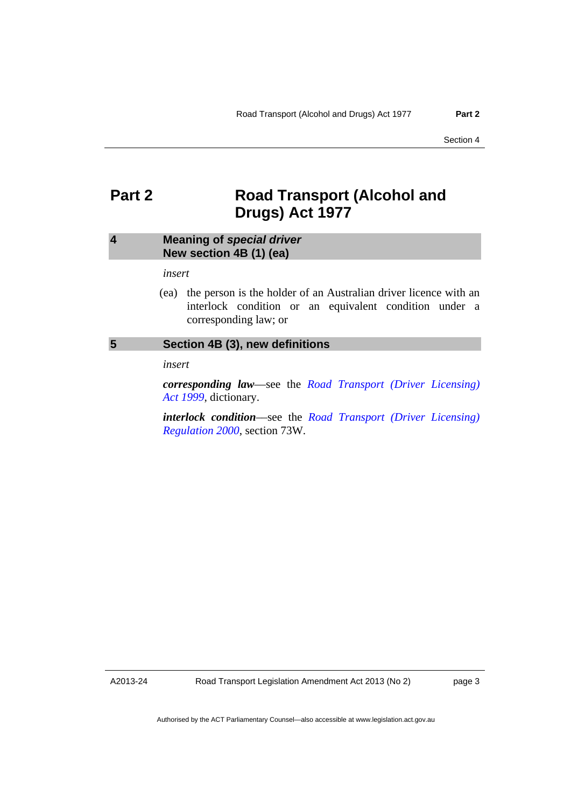### <span id="page-6-0"></span>**Part 2** Road Transport (Alcohol and **Drugs) Act 1977**

#### <span id="page-6-1"></span>**4 Meaning of** *special driver* **New section 4B (1) (ea)**

#### *insert*

 (ea) the person is the holder of an Australian driver licence with an interlock condition or an equivalent condition under a corresponding law; or

#### <span id="page-6-2"></span>**5 Section 4B (3), new definitions**

*insert* 

*corresponding law*––see the *[Road Transport \(Driver Licensing\)](http://www.legislation.act.gov.au/a/1999-78)  [Act 1999](http://www.legislation.act.gov.au/a/1999-78)*, dictionary.

*interlock condition*––see the *[Road Transport \(Driver Licensing\)](http://www.legislation.act.gov.au/sl/2000-14)  [Regulation 2000](http://www.legislation.act.gov.au/sl/2000-14)*, section 73W.

A2013-24

page 3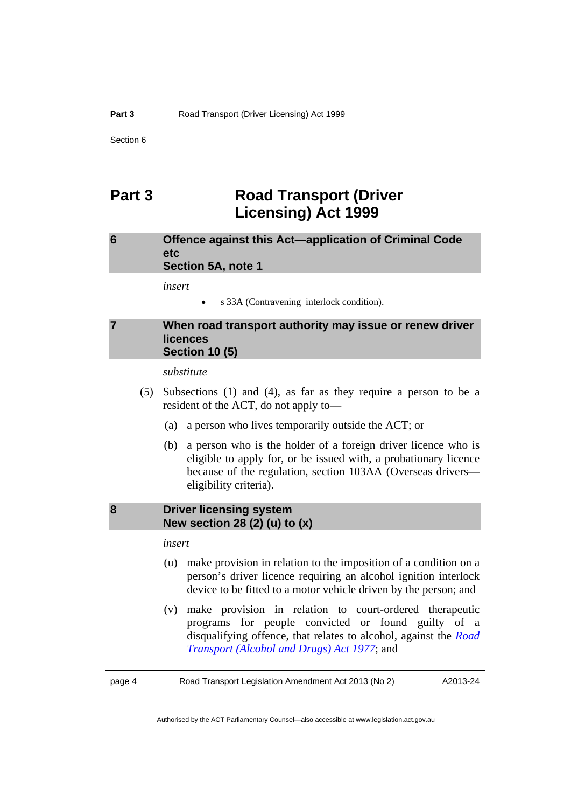### <span id="page-7-0"></span>**Part 3 Road Transport (Driver Licensing) Act 1999**

#### <span id="page-7-1"></span>**6 Offence against this Act—application of Criminal Code etc Section 5A, note 1**

*insert* 

s 33A (Contravening interlock condition).

#### <span id="page-7-2"></span>**7 When road transport authority may issue or renew driver licences Section 10 (5)**

*substitute* 

- (5) Subsections (1) and (4), as far as they require a person to be a resident of the ACT, do not apply to—
	- (a) a person who lives temporarily outside the ACT; or
	- (b) a person who is the holder of a foreign driver licence who is eligible to apply for, or be issued with, a probationary licence because of the regulation, section 103AA (Overseas drivers–– eligibility criteria).

#### <span id="page-7-3"></span>**8 Driver licensing system New section 28 (2) (u) to (x)**

#### *insert*

- (u) make provision in relation to the imposition of a condition on a person's driver licence requiring an alcohol ignition interlock device to be fitted to a motor vehicle driven by the person; and
- (v) make provision in relation to court-ordered therapeutic programs for people convicted or found guilty of a disqualifying offence, that relates to alcohol, against the *[Road](http://www.legislation.act.gov.au/a/1977-17)  [Transport \(Alcohol and Drugs\) Act 1977](http://www.legislation.act.gov.au/a/1977-17)*; and

page 4 Road Transport Legislation Amendment Act 2013 (No 2)

A2013-24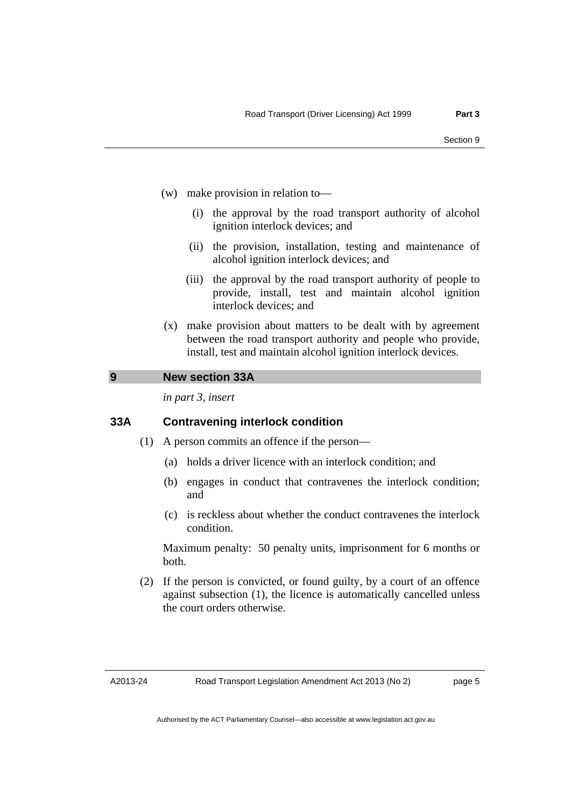- (w) make provision in relation to—
	- (i) the approval by the road transport authority of alcohol ignition interlock devices; and
	- (ii) the provision, installation, testing and maintenance of alcohol ignition interlock devices; and
	- (iii) the approval by the road transport authority of people to provide, install, test and maintain alcohol ignition interlock devices; and
- (x) make provision about matters to be dealt with by agreement between the road transport authority and people who provide, install, test and maintain alcohol ignition interlock devices.

#### <span id="page-8-0"></span>**9 New section 33A**

*in part 3, insert* 

#### **33A Contravening interlock condition**

- (1) A person commits an offence if the person––
	- (a) holds a driver licence with an interlock condition; and
	- (b) engages in conduct that contravenes the interlock condition; and
	- (c) is reckless about whether the conduct contravenes the interlock condition.

Maximum penalty: 50 penalty units, imprisonment for 6 months or both.

 (2) If the person is convicted, or found guilty, by a court of an offence against subsection (1), the licence is automatically cancelled unless the court orders otherwise.

A2013-24

page 5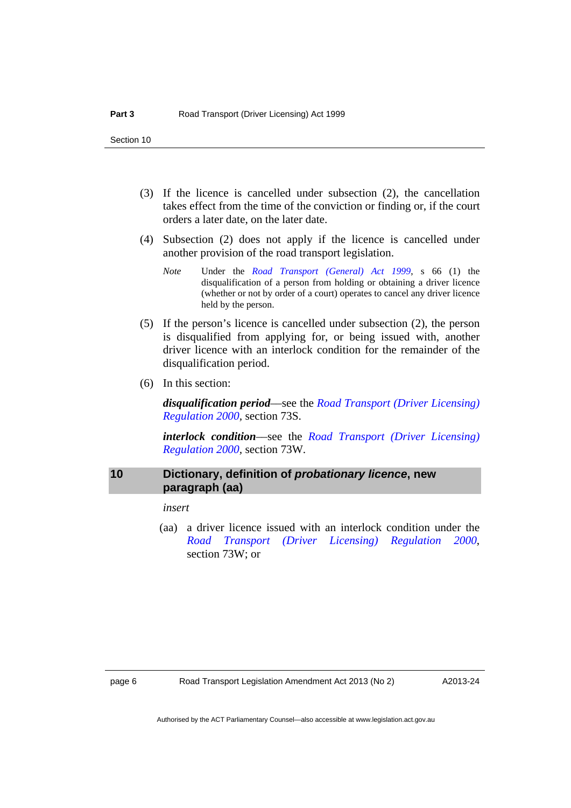- (3) If the licence is cancelled under subsection (2), the cancellation takes effect from the time of the conviction or finding or, if the court orders a later date, on the later date.
- (4) Subsection (2) does not apply if the licence is cancelled under another provision of the road transport legislation.
	- *Note* Under the *[Road Transport \(General\) Act 1999](http://www.legislation.act.gov.au/a/1999-77)*, s 66 (1) the disqualification of a person from holding or obtaining a driver licence (whether or not by order of a court) operates to cancel any driver licence held by the person.
- (5) If the person's licence is cancelled under subsection (2), the person is disqualified from applying for, or being issued with, another driver licence with an interlock condition for the remainder of the disqualification period.
- (6) In this section:

*disqualification period*––see the *[Road Transport \(Driver Licensing\)](http://www.legislation.act.gov.au/sl/2000-14)  [Regulation 2000,](http://www.legislation.act.gov.au/sl/2000-14)* section 73S.

*interlock condition*––see the *[Road Transport \(Driver Licensing\)](http://www.legislation.act.gov.au/sl/2000-14)  [Regulation 2000,](http://www.legislation.act.gov.au/sl/2000-14)* section 73W.

#### <span id="page-9-0"></span>**10 Dictionary, definition of** *probationary licence***, new paragraph (aa)**

*insert* 

 (aa) a driver licence issued with an interlock condition under the *[Road Transport \(Driver Licensing\) Regulation 2000](http://www.legislation.act.gov.au/sl/2000-14)*, section 73W; or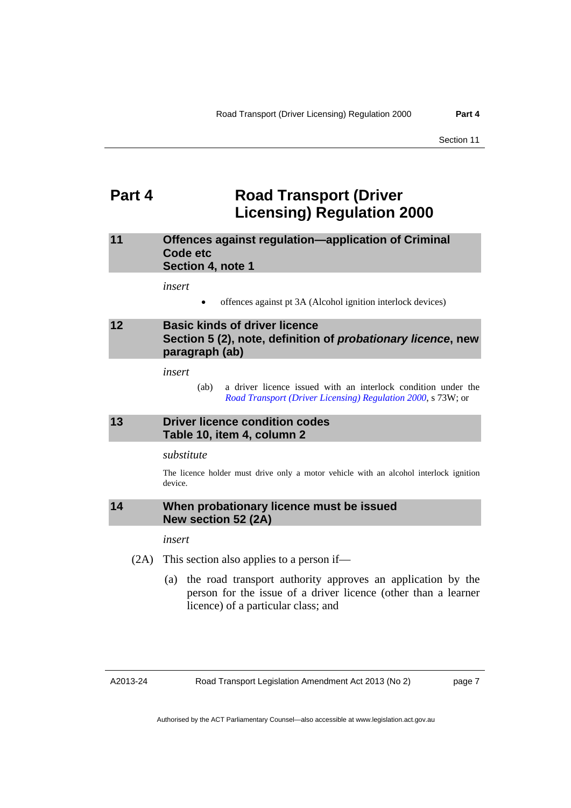### <span id="page-10-0"></span>**Part 4 Road Transport (Driver Licensing) Regulation 2000**

#### <span id="page-10-1"></span>**11 Offences against regulation—application of Criminal Code etc Section 4, note 1**

*insert* 

offences against pt 3A (Alcohol ignition interlock devices)

#### <span id="page-10-2"></span>**12 Basic kinds of driver licence Section 5 (2), note, definition of** *probationary licence***, new paragraph (ab)**

*insert* 

 (ab) a driver licence issued with an interlock condition under the *[Road Transport \(Driver Licensing\) Regulation 2000](http://www.legislation.act.gov.au/sl/2000-14)*, s 73W; or

#### <span id="page-10-3"></span>**13 Driver licence condition codes Table 10, item 4, column 2**

#### *substitute*

The licence holder must drive only a motor vehicle with an alcohol interlock ignition device.

#### <span id="page-10-4"></span>**14 When probationary licence must be issued New section 52 (2A)**

*insert* 

- (2A) This section also applies to a person if—
	- (a) the road transport authority approves an application by the person for the issue of a driver licence (other than a learner licence) of a particular class; and

A2013-24

page 7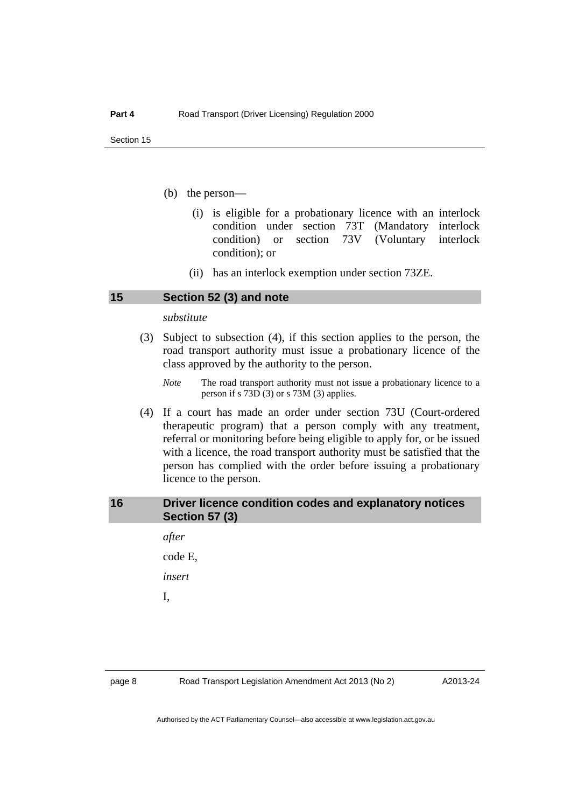- (b) the person––
	- (i) is eligible for a probationary licence with an interlock condition under section 73T (Mandatory interlock condition) or section 73V (Voluntary interlock condition); or
	- (ii) has an interlock exemption under section 73ZE.

#### <span id="page-11-0"></span>**15 Section 52 (3) and note**

#### *substitute*

- (3) Subject to subsection (4), if this section applies to the person, the road transport authority must issue a probationary licence of the class approved by the authority to the person.
	- *Note* The road transport authority must not issue a probationary licence to a person if s 73D (3) or s 73M (3) applies.
- (4) If a court has made an order under section 73U (Court-ordered therapeutic program) that a person comply with any treatment, referral or monitoring before being eligible to apply for, or be issued with a licence, the road transport authority must be satisfied that the person has complied with the order before issuing a probationary licence to the person.

#### <span id="page-11-1"></span>**16 Driver licence condition codes and explanatory notices Section 57 (3)**

*after*  code E, *insert* 

I,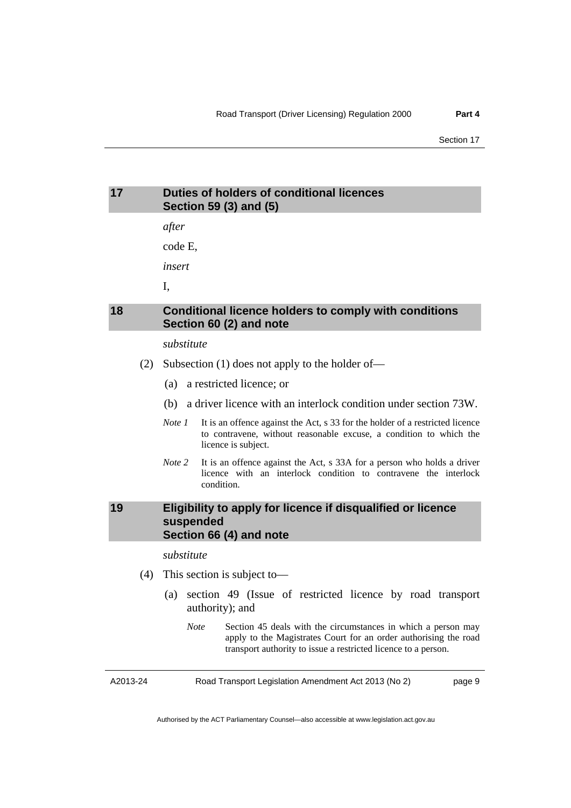### <span id="page-12-0"></span>**17 Duties of holders of conditional licences Section 59 (3) and (5)**

*after* 

code E,

*insert* 

I,

#### <span id="page-12-1"></span>**18 Conditional licence holders to comply with conditions Section 60 (2) and note**

#### *substitute*

- (2) Subsection (1) does not apply to the holder of—
	- (a) a restricted licence; or
	- (b) a driver licence with an interlock condition under section 73W.
	- *Note 1* It is an offence against the Act, s 33 for the holder of a restricted licence to contravene, without reasonable excuse, a condition to which the licence is subject.
	- *Note 2* It is an offence against the Act, s 33A for a person who holds a driver licence with an interlock condition to contravene the interlock condition.

#### <span id="page-12-2"></span>**19 Eligibility to apply for licence if disqualified or licence suspended Section 66 (4) and note**

*substitute* 

- (4) This section is subject to-
	- (a) section 49 (Issue of restricted licence by road transport authority); and
		- *Note* Section 45 deals with the circumstances in which a person may apply to the Magistrates Court for an order authorising the road transport authority to issue a restricted licence to a person.

A2013-24

Road Transport Legislation Amendment Act 2013 (No 2)

page 9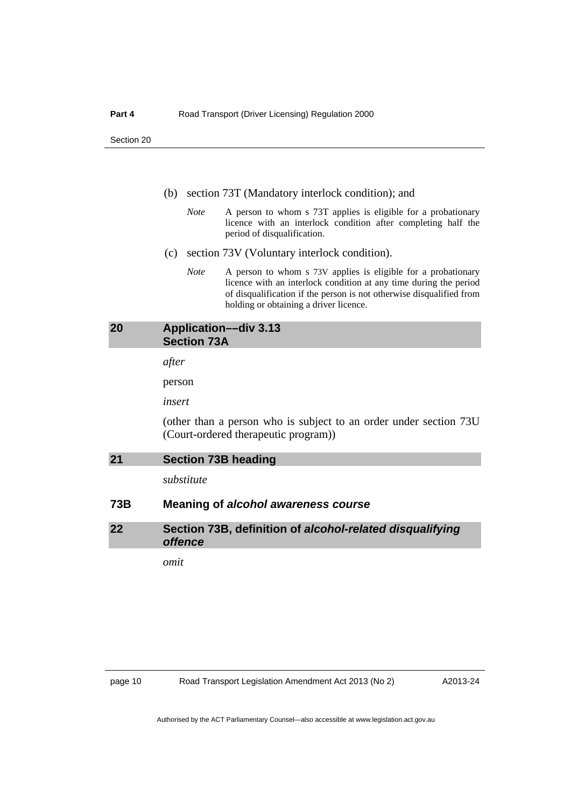- (b) section 73T (Mandatory interlock condition); and
	- *Note* A person to whom s 73T applies is eligible for a probationary licence with an interlock condition after completing half the period of disqualification.
- (c) section 73V (Voluntary interlock condition).
	- *Note* A person to whom s 73V applies is eligible for a probationary licence with an interlock condition at any time during the period of disqualification if the person is not otherwise disqualified from holding or obtaining a driver licence.

### <span id="page-13-0"></span>**20 Application––div 3.13 Section 73A**  *after*  person *insert*  (other than a person who is subject to an order under section 73U

<span id="page-13-1"></span>

| 21 | <b>Section 73B heading</b> |
|----|----------------------------|

*substitute* 

#### **73B Meaning of** *alcohol awareness course*

(Court-ordered therapeutic program))

<span id="page-13-2"></span>**22 Section 73B, definition of** *alcohol-related disqualifying offence*

*omit*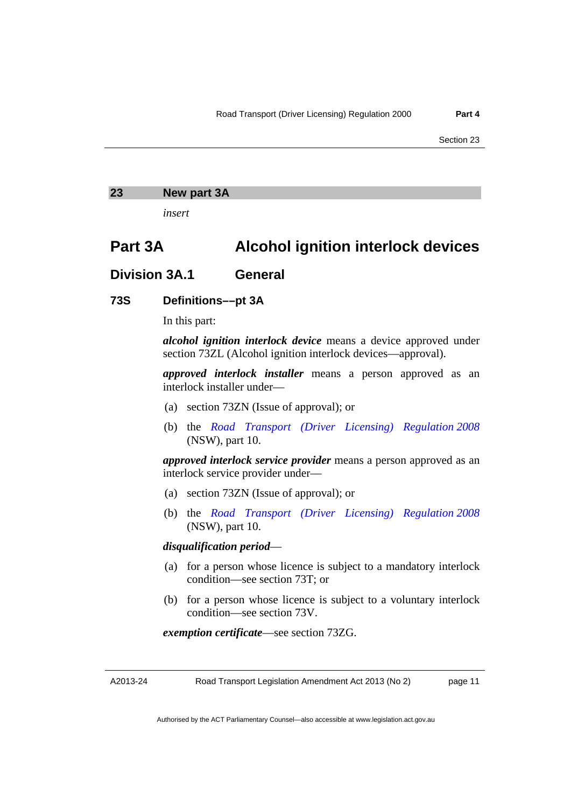#### <span id="page-14-0"></span>**23 New part 3A**

*insert* 

### **Part 3A Alcohol ignition interlock devices**

#### **Division 3A.1 General**

#### **73S Definitions––pt 3A**

In this part:

*alcohol ignition interlock device* means a device approved under section 73ZL (Alcohol ignition interlock devices––approval).

*approved interlock installer* means a person approved as an interlock installer under––

- (a) section 73ZN (Issue of approval); or
- (b) the *[Road Transport \(Driver Licensing\) Regulation 2008](http://www.legislation.nsw.gov.au/maintop/view/inforce/subordleg+397+2008+cd+0+N)* (NSW), part 10.

*approved interlock service provider* means a person approved as an interlock service provider under––

- (a) section 73ZN (Issue of approval); or
- (b) the *[Road Transport \(Driver Licensing\) Regulation 2008](http://www.legislation.nsw.gov.au/maintop/view/inforce/subordleg+397+2008+cd+0+N)* (NSW), part 10.

#### *disqualification period*––

- (a) for a person whose licence is subject to a mandatory interlock condition––see section 73T; or
- (b) for a person whose licence is subject to a voluntary interlock condition––see section 73V.

*exemption certificate*––see section 73ZG.

A2013-24

Road Transport Legislation Amendment Act 2013 (No 2)

page 11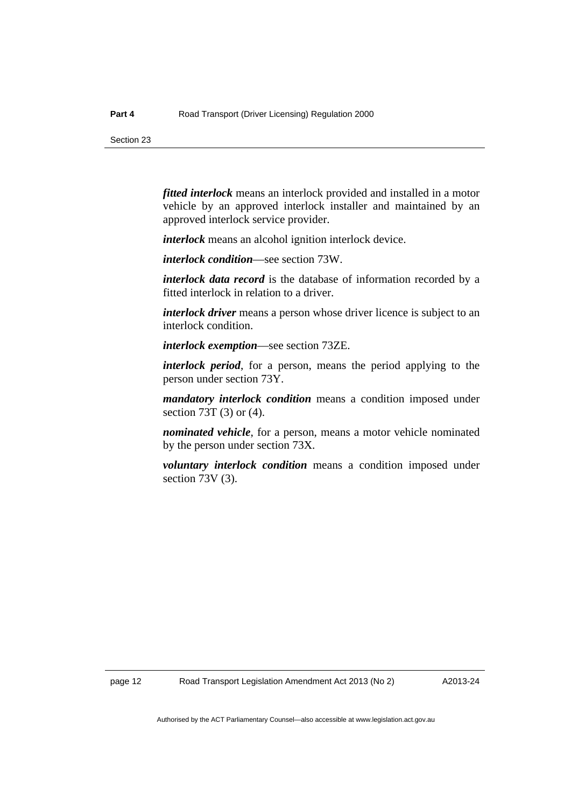*fitted interlock* means an interlock provided and installed in a motor vehicle by an approved interlock installer and maintained by an approved interlock service provider.

*interlock* means an alcohol ignition interlock device.

*interlock condition*––see section 73W.

*interlock data record* is the database of information recorded by a fitted interlock in relation to a driver.

*interlock driver* means a person whose driver licence is subject to an interlock condition.

*interlock exemption*––see section 73ZE.

*interlock period*, for a person, means the period applying to the person under section 73Y.

*mandatory interlock condition* means a condition imposed under section 73T (3) or (4).

*nominated vehicle*, for a person, means a motor vehicle nominated by the person under section 73X.

*voluntary interlock condition* means a condition imposed under section 73V (3).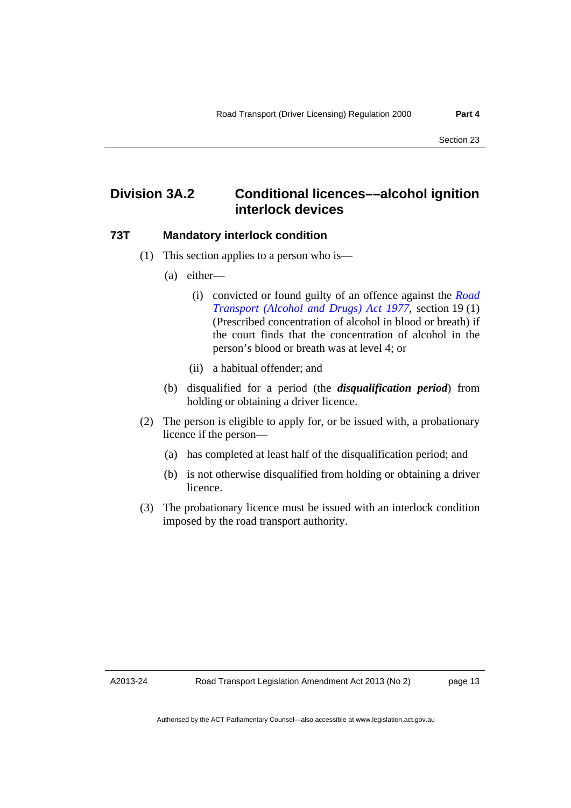### **Division 3A.2 Conditional licences––alcohol ignition interlock devices**

#### **73T Mandatory interlock condition**

- (1) This section applies to a person who is––
	- (a) either––
		- (i) convicted or found guilty of an offence against the *[Road](http://www.legislation.act.gov.au/a/1977-17)  [Transport \(Alcohol and Drugs\) Act 1977](http://www.legislation.act.gov.au/a/1977-17)*, section 19 (1) (Prescribed concentration of alcohol in blood or breath) if the court finds that the concentration of alcohol in the person's blood or breath was at level 4; or
		- (ii) a habitual offender; and
	- (b) disqualified for a period (the *disqualification period*) from holding or obtaining a driver licence.
- (2) The person is eligible to apply for, or be issued with, a probationary licence if the person––
	- (a) has completed at least half of the disqualification period; and
	- (b) is not otherwise disqualified from holding or obtaining a driver licence.
- (3) The probationary licence must be issued with an interlock condition imposed by the road transport authority.

A2013-24

page 13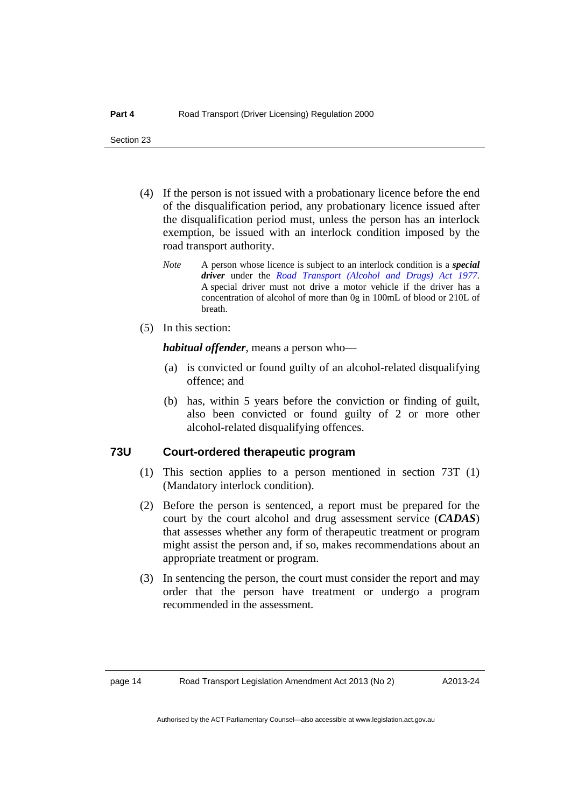- (4) If the person is not issued with a probationary licence before the end of the disqualification period, any probationary licence issued after the disqualification period must, unless the person has an interlock exemption, be issued with an interlock condition imposed by the road transport authority.
	- *Note* A person whose licence is subject to an interlock condition is a *special driver* under the *[Road Transport \(Alcohol and Drugs\) Act 1977](http://www.legislation.act.gov.au/a/1977-17)*. A special driver must not drive a motor vehicle if the driver has a concentration of alcohol of more than 0g in 100mL of blood or 210L of breath.
- (5) In this section:

*habitual offender*, means a person who––

- (a) is convicted or found guilty of an alcohol-related disqualifying offence; and
- (b) has, within 5 years before the conviction or finding of guilt, also been convicted or found guilty of 2 or more other alcohol-related disqualifying offences.

#### **73U Court-ordered therapeutic program**

- (1) This section applies to a person mentioned in section 73T (1) (Mandatory interlock condition).
- (2) Before the person is sentenced, a report must be prepared for the court by the court alcohol and drug assessment service (*CADAS*) that assesses whether any form of therapeutic treatment or program might assist the person and, if so, makes recommendations about an appropriate treatment or program.
- (3) In sentencing the person, the court must consider the report and may order that the person have treatment or undergo a program recommended in the assessment*.*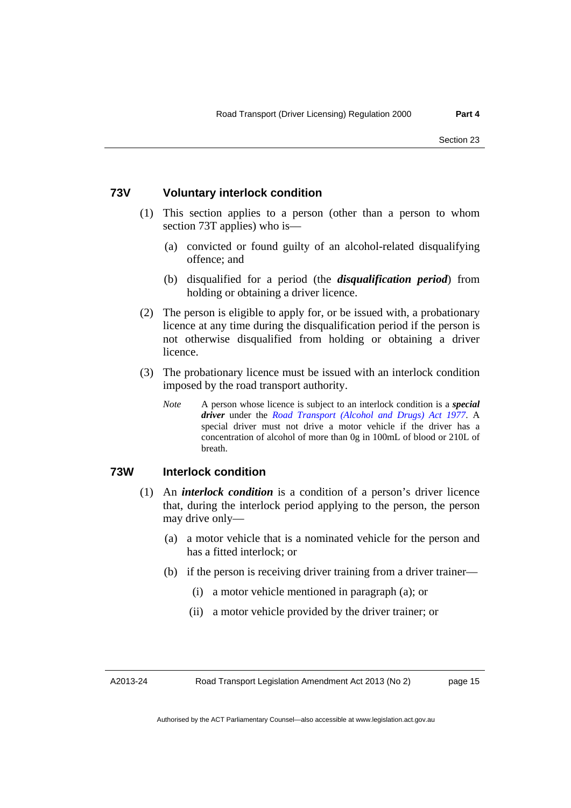#### **73V Voluntary interlock condition**

- (1) This section applies to a person (other than a person to whom section 73T applies) who is––
	- (a) convicted or found guilty of an alcohol-related disqualifying offence; and
	- (b) disqualified for a period (the *disqualification period*) from holding or obtaining a driver licence.
- (2) The person is eligible to apply for, or be issued with, a probationary licence at any time during the disqualification period if the person is not otherwise disqualified from holding or obtaining a driver licence.
- (3) The probationary licence must be issued with an interlock condition imposed by the road transport authority.
	- *Note* A person whose licence is subject to an interlock condition is a *special driver* under the *[Road Transport \(Alcohol and Drugs\) Act 1977](http://www.legislation.act.gov.au/a/1977-17)*. A special driver must not drive a motor vehicle if the driver has a concentration of alcohol of more than 0g in 100mL of blood or 210L of breath.

#### **73W Interlock condition**

- (1) An *interlock condition* is a condition of a person's driver licence that, during the interlock period applying to the person, the person may drive only—
	- (a) a motor vehicle that is a nominated vehicle for the person and has a fitted interlock; or
	- (b) if the person is receiving driver training from a driver trainer—
		- (i) a motor vehicle mentioned in paragraph (a); or
		- (ii) a motor vehicle provided by the driver trainer; or

A2013-24

Road Transport Legislation Amendment Act 2013 (No 2)

page 15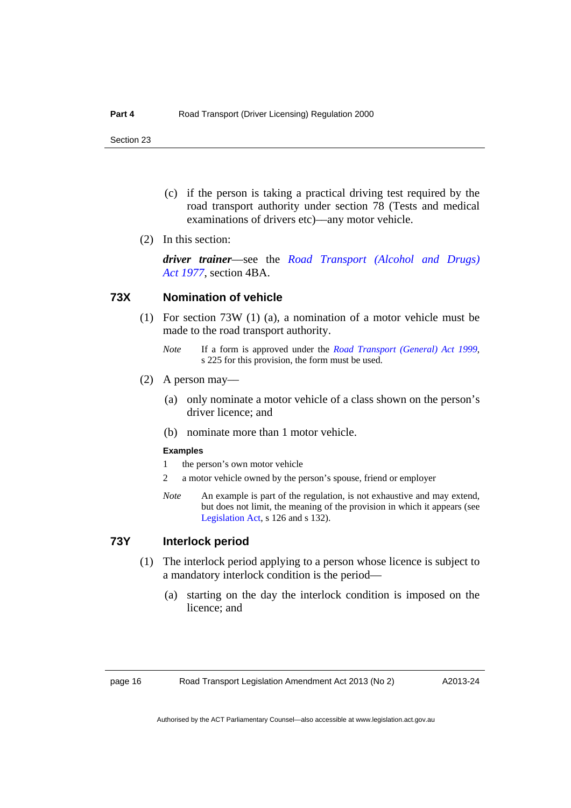- (c) if the person is taking a practical driving test required by the road transport authority under section 78 (Tests and medical examinations of drivers etc)—any motor vehicle.
- (2) In this section:

*driver trainer*––see the *[Road Transport \(Alcohol and Drugs\)](http://www.legislation.act.gov.au/a/1977-17)  [Act 1977](http://www.legislation.act.gov.au/a/1977-17)*, section 4BA.

#### **73X Nomination of vehicle**

- (1) For section 73W (1) (a), a nomination of a motor vehicle must be made to the road transport authority.
	- *Note* If a form is approved under the *[Road Transport \(General\) Act 1999](http://www.legislation.act.gov.au/a/1999-77)*, s 225 for this provision, the form must be used.
- $(2)$  A person may—
	- (a) only nominate a motor vehicle of a class shown on the person's driver licence; and
	- (b) nominate more than 1 motor vehicle.

#### **Examples**

- 1 the person's own motor vehicle
- 2 a motor vehicle owned by the person's spouse, friend or employer
- *Note* An example is part of the regulation, is not exhaustive and may extend, but does not limit, the meaning of the provision in which it appears (see [Legislation Act,](http://www.legislation.act.gov.au/a/2001-14) s 126 and s 132).

#### **73Y Interlock period**

- (1) The interlock period applying to a person whose licence is subject to a mandatory interlock condition is the period—
	- (a) starting on the day the interlock condition is imposed on the licence; and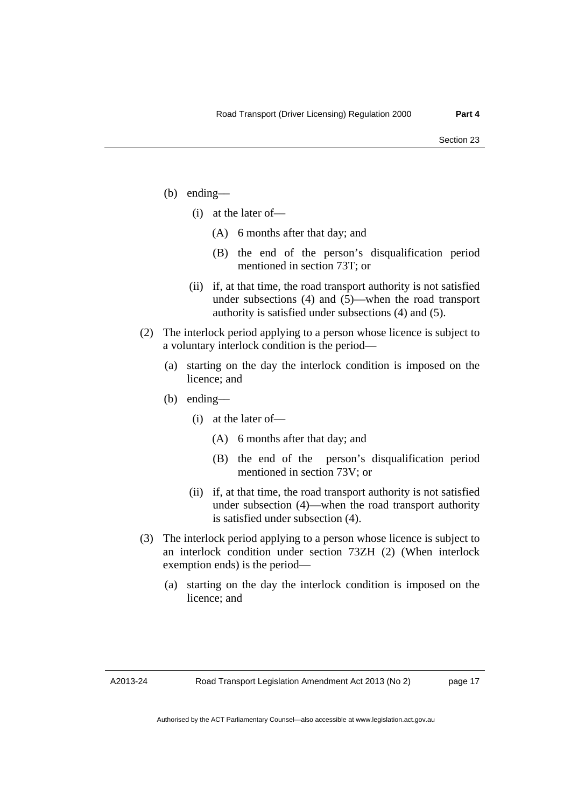- (b) ending––
	- $(i)$  at the later of
		- (A) 6 months after that day; and
		- (B) the end of the person's disqualification period mentioned in section 73T; or
	- (ii) if, at that time, the road transport authority is not satisfied under subsections (4) and (5)—when the road transport authority is satisfied under subsections (4) and (5).
- (2) The interlock period applying to a person whose licence is subject to a voluntary interlock condition is the period—
	- (a) starting on the day the interlock condition is imposed on the licence; and
	- (b) ending––
		- $(i)$  at the later of
			- (A) 6 months after that day; and
			- (B) the end of the person's disqualification period mentioned in section 73V; or
		- (ii) if, at that time, the road transport authority is not satisfied under subsection (4)—when the road transport authority is satisfied under subsection (4).
- (3) The interlock period applying to a person whose licence is subject to an interlock condition under section 73ZH (2) (When interlock exemption ends) is the period—
	- (a) starting on the day the interlock condition is imposed on the licence; and

A2013-24

page 17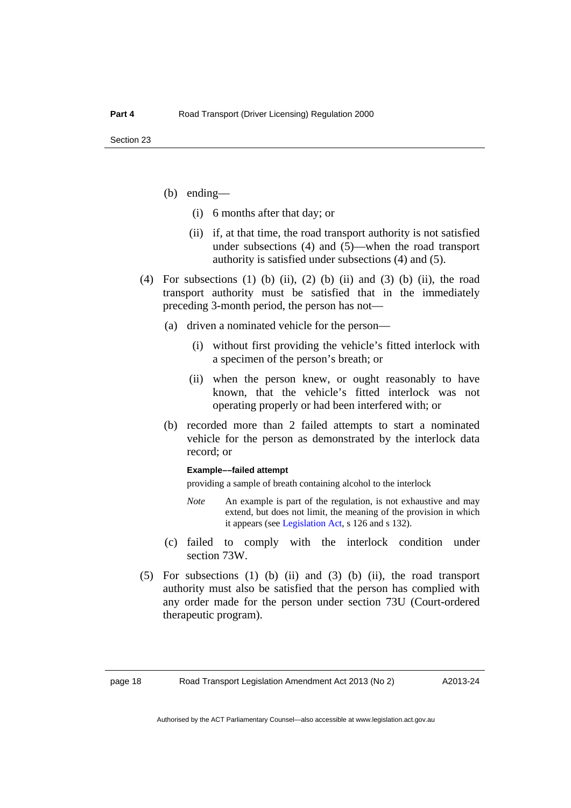- (b) ending––
	- (i) 6 months after that day; or
	- (ii) if, at that time, the road transport authority is not satisfied under subsections (4) and (5)—when the road transport authority is satisfied under subsections (4) and (5).
- (4) For subsections (1) (b) (ii), (2) (b) (ii) and (3) (b) (ii), the road transport authority must be satisfied that in the immediately preceding 3-month period, the person has not––
	- (a) driven a nominated vehicle for the person––
		- (i) without first providing the vehicle's fitted interlock with a specimen of the person's breath; or
		- (ii) when the person knew, or ought reasonably to have known, that the vehicle's fitted interlock was not operating properly or had been interfered with; or
	- (b) recorded more than 2 failed attempts to start a nominated vehicle for the person as demonstrated by the interlock data record; or

#### **Example––failed attempt**

providing a sample of breath containing alcohol to the interlock

- *Note* An example is part of the regulation, is not exhaustive and may extend, but does not limit, the meaning of the provision in which it appears (see [Legislation Act,](http://www.legislation.act.gov.au/a/2001-14) s 126 and s 132).
- (c) failed to comply with the interlock condition under section 73W.
- (5) For subsections (1) (b) (ii) and (3) (b) (ii), the road transport authority must also be satisfied that the person has complied with any order made for the person under section 73U (Court-ordered therapeutic program).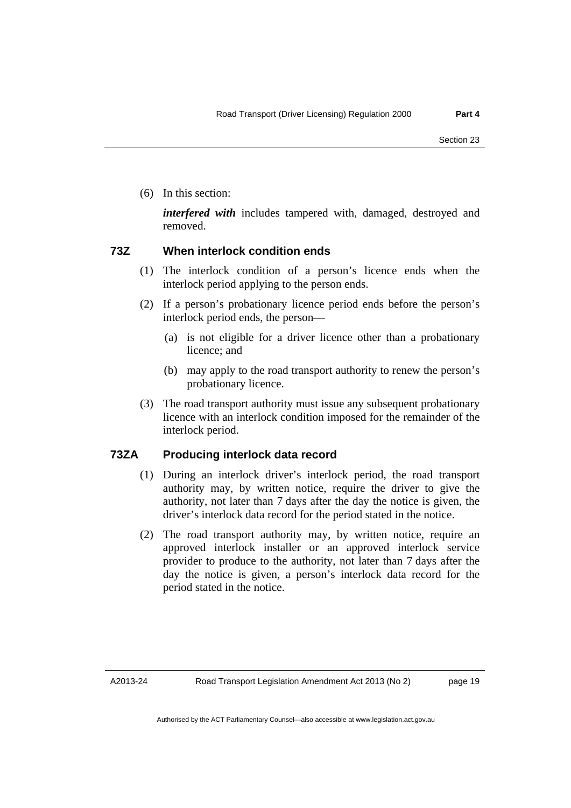(6) In this section:

*interfered with* includes tampered with, damaged, destroyed and removed.

#### **73Z When interlock condition ends**

- (1) The interlock condition of a person's licence ends when the interlock period applying to the person ends.
- (2) If a person's probationary licence period ends before the person's interlock period ends, the person––
	- (a) is not eligible for a driver licence other than a probationary licence; and
	- (b) may apply to the road transport authority to renew the person's probationary licence.
- (3) The road transport authority must issue any subsequent probationary licence with an interlock condition imposed for the remainder of the interlock period.

#### **73ZA Producing interlock data record**

- (1) During an interlock driver's interlock period, the road transport authority may, by written notice, require the driver to give the authority, not later than 7 days after the day the notice is given, the driver's interlock data record for the period stated in the notice.
- (2) The road transport authority may, by written notice, require an approved interlock installer or an approved interlock service provider to produce to the authority, not later than 7 days after the day the notice is given, a person's interlock data record for the period stated in the notice.

page 19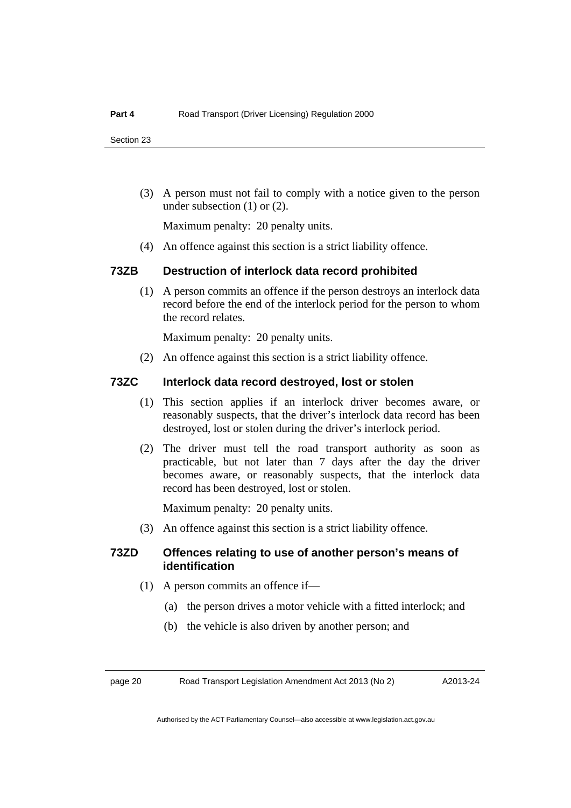(3) A person must not fail to comply with a notice given to the person under subsection (1) or (2).

Maximum penalty: 20 penalty units.

(4) An offence against this section is a strict liability offence.

#### **73ZB Destruction of interlock data record prohibited**

 (1) A person commits an offence if the person destroys an interlock data record before the end of the interlock period for the person to whom the record relates.

Maximum penalty: 20 penalty units.

(2) An offence against this section is a strict liability offence.

#### **73ZC Interlock data record destroyed, lost or stolen**

- (1) This section applies if an interlock driver becomes aware, or reasonably suspects, that the driver's interlock data record has been destroyed, lost or stolen during the driver's interlock period.
- (2) The driver must tell the road transport authority as soon as practicable, but not later than 7 days after the day the driver becomes aware, or reasonably suspects, that the interlock data record has been destroyed, lost or stolen.

Maximum penalty: 20 penalty units.

(3) An offence against this section is a strict liability offence.

#### **73ZD Offences relating to use of another person's means of identification**

- (1) A person commits an offence if––
	- (a) the person drives a motor vehicle with a fitted interlock; and
	- (b) the vehicle is also driven by another person; and

page 20 Road Transport Legislation Amendment Act 2013 (No 2)

A2013-24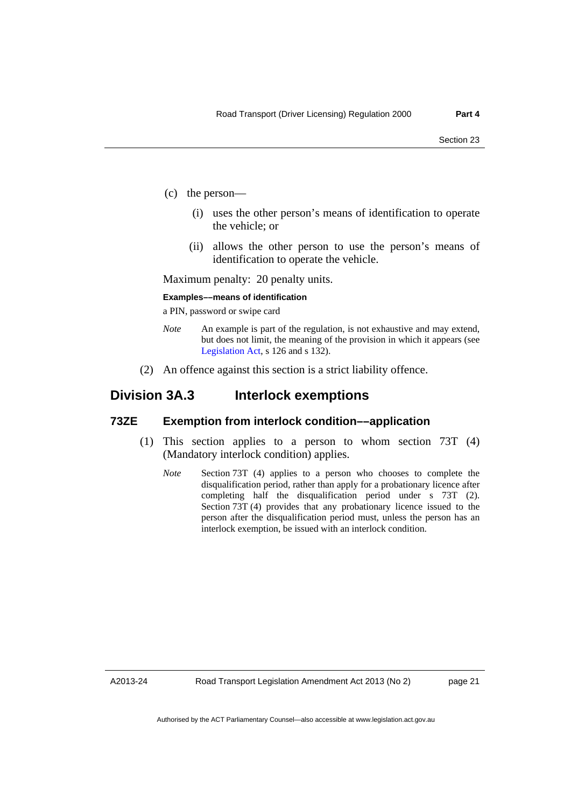- (c) the person––
	- (i) uses the other person's means of identification to operate the vehicle; or
	- (ii) allows the other person to use the person's means of identification to operate the vehicle.

Maximum penalty: 20 penalty units.

#### **Examples––means of identification**

a PIN, password or swipe card

- *Note* An example is part of the regulation, is not exhaustive and may extend, but does not limit, the meaning of the provision in which it appears (see [Legislation Act,](http://www.legislation.act.gov.au/a/2001-14) s 126 and s 132).
- (2) An offence against this section is a strict liability offence.

### **Division 3A.3 Interlock exemptions**

#### **73ZE Exemption from interlock condition––application**

- (1) This section applies to a person to whom section 73T (4) (Mandatory interlock condition) applies.
	- *Note* Section 73T (4) applies to a person who chooses to complete the disqualification period, rather than apply for a probationary licence after completing half the disqualification period under s 73T (2). Section 73T (4) provides that any probationary licence issued to the person after the disqualification period must, unless the person has an interlock exemption, be issued with an interlock condition.

A2013-24

Road Transport Legislation Amendment Act 2013 (No 2)

page 21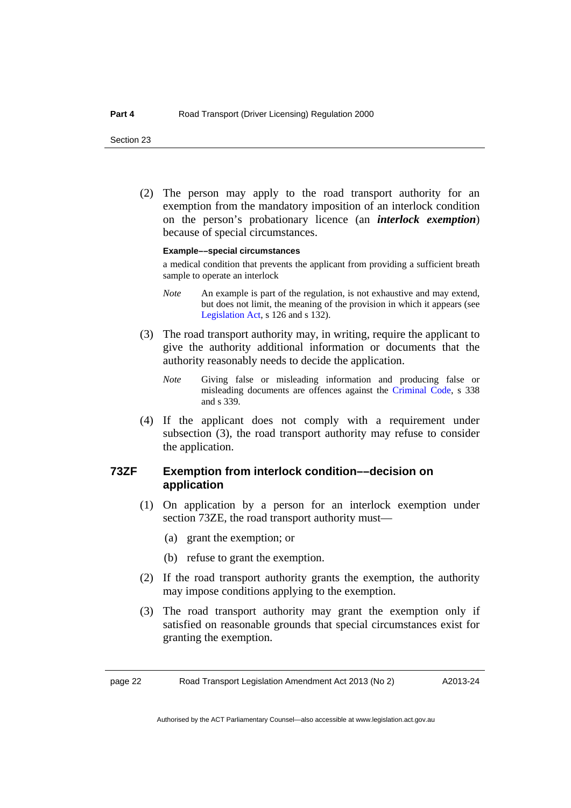(2) The person may apply to the road transport authority for an exemption from the mandatory imposition of an interlock condition on the person's probationary licence (an *interlock exemption*) because of special circumstances.

#### **Example––special circumstances**

a medical condition that prevents the applicant from providing a sufficient breath sample to operate an interlock

- *Note* An example is part of the regulation, is not exhaustive and may extend, but does not limit, the meaning of the provision in which it appears (see [Legislation Act,](http://www.legislation.act.gov.au/a/2001-14) s 126 and s 132).
- (3) The road transport authority may, in writing, require the applicant to give the authority additional information or documents that the authority reasonably needs to decide the application.
	- *Note* Giving false or misleading information and producing false or misleading documents are offences against the [Criminal Code](http://www.legislation.act.gov.au/a/2002-51), s 338 and s 339.
- (4) If the applicant does not comply with a requirement under subsection (3), the road transport authority may refuse to consider the application.

#### **73ZF Exemption from interlock condition––decision on application**

- (1) On application by a person for an interlock exemption under section 73ZE, the road transport authority must—
	- (a) grant the exemption; or
	- (b) refuse to grant the exemption.
- (2) If the road transport authority grants the exemption, the authority may impose conditions applying to the exemption.
- (3) The road transport authority may grant the exemption only if satisfied on reasonable grounds that special circumstances exist for granting the exemption.

page 22 Road Transport Legislation Amendment Act 2013 (No 2)

A2013-24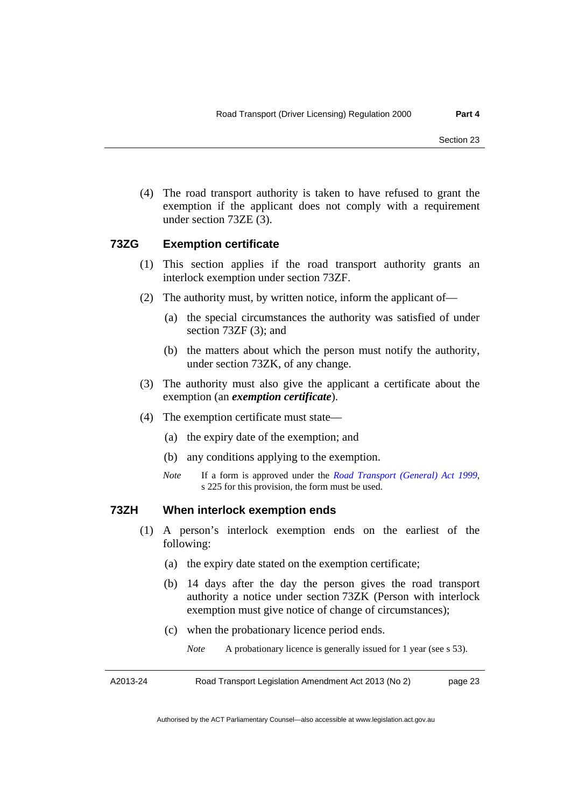(4) The road transport authority is taken to have refused to grant the exemption if the applicant does not comply with a requirement under section 73ZE (3).

#### **73ZG Exemption certificate**

- (1) This section applies if the road transport authority grants an interlock exemption under section 73ZF.
- (2) The authority must, by written notice, inform the applicant of––
	- (a) the special circumstances the authority was satisfied of under section 73ZF (3); and
	- (b) the matters about which the person must notify the authority, under section 73ZK, of any change.
- (3) The authority must also give the applicant a certificate about the exemption (an *exemption certificate*).
- (4) The exemption certificate must state––
	- (a) the expiry date of the exemption; and
	- (b) any conditions applying to the exemption.
	- *Note* If a form is approved under the *[Road Transport \(General\) Act 1999](http://www.legislation.act.gov.au/a/1999-77)*, s 225 for this provision, the form must be used.

#### **73ZH When interlock exemption ends**

- (1) A person's interlock exemption ends on the earliest of the following:
	- (a) the expiry date stated on the exemption certificate;
	- (b) 14 days after the day the person gives the road transport authority a notice under section 73ZK (Person with interlock exemption must give notice of change of circumstances);
	- (c) when the probationary licence period ends.
		- *Note* A probationary licence is generally issued for 1 year (see s 53).

A2013-24 Road Transport Legislation Amendment Act 2013 (No 2) page 23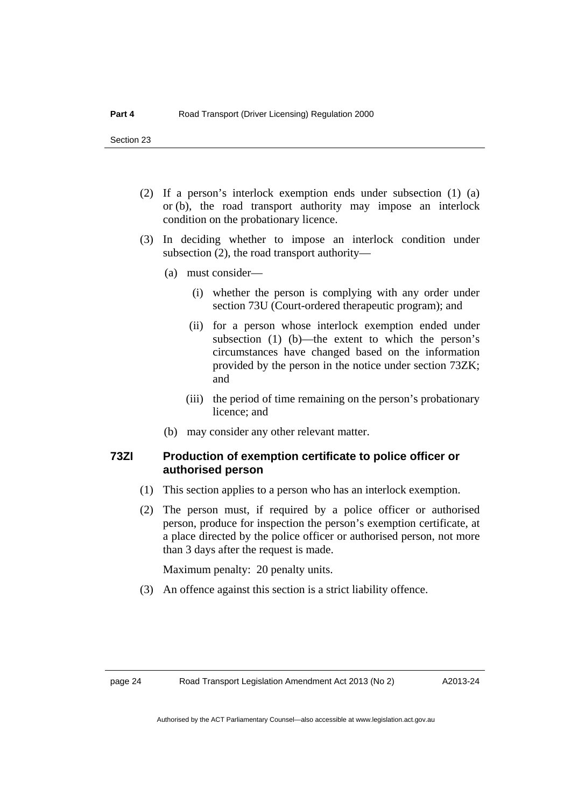- (2) If a person's interlock exemption ends under subsection (1) (a) or (b), the road transport authority may impose an interlock condition on the probationary licence.
- (3) In deciding whether to impose an interlock condition under subsection (2), the road transport authority—
	- (a) must consider—
		- (i) whether the person is complying with any order under section 73U (Court-ordered therapeutic program); and
		- (ii) for a person whose interlock exemption ended under subsection  $(1)$  (b)—the extent to which the person's circumstances have changed based on the information provided by the person in the notice under section 73ZK; and
		- (iii) the period of time remaining on the person's probationary licence; and
	- (b) may consider any other relevant matter.

#### **73ZI Production of exemption certificate to police officer or authorised person**

- (1) This section applies to a person who has an interlock exemption.
- (2) The person must, if required by a police officer or authorised person, produce for inspection the person's exemption certificate, at a place directed by the police officer or authorised person, not more than 3 days after the request is made.

Maximum penalty: 20 penalty units.

(3) An offence against this section is a strict liability offence.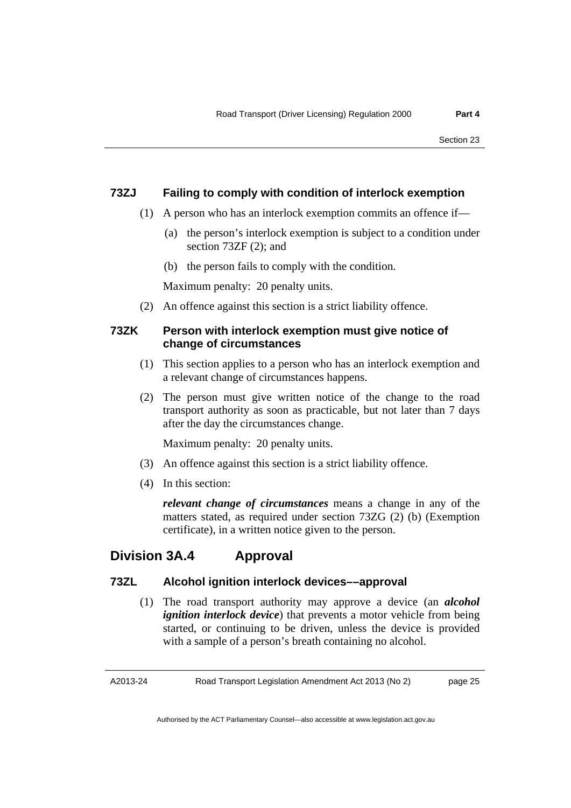#### **73ZJ Failing to comply with condition of interlock exemption**

- (1) A person who has an interlock exemption commits an offence if––
	- (a) the person's interlock exemption is subject to a condition under section 73ZF (2); and
	- (b) the person fails to comply with the condition.

Maximum penalty: 20 penalty units.

(2) An offence against this section is a strict liability offence.

#### **73ZK Person with interlock exemption must give notice of change of circumstances**

- (1) This section applies to a person who has an interlock exemption and a relevant change of circumstances happens.
- (2) The person must give written notice of the change to the road transport authority as soon as practicable, but not later than 7 days after the day the circumstances change.

Maximum penalty: 20 penalty units.

- (3) An offence against this section is a strict liability offence.
- (4) In this section:

*relevant change of circumstances* means a change in any of the matters stated, as required under section 73ZG (2) (b) (Exemption certificate), in a written notice given to the person.

### **Division 3A.4 Approval**

#### **73ZL Alcohol ignition interlock devices––approval**

 (1) The road transport authority may approve a device (an *alcohol ignition interlock device*) that prevents a motor vehicle from being started, or continuing to be driven, unless the device is provided with a sample of a person's breath containing no alcohol.

A2013-24

Road Transport Legislation Amendment Act 2013 (No 2)

page 25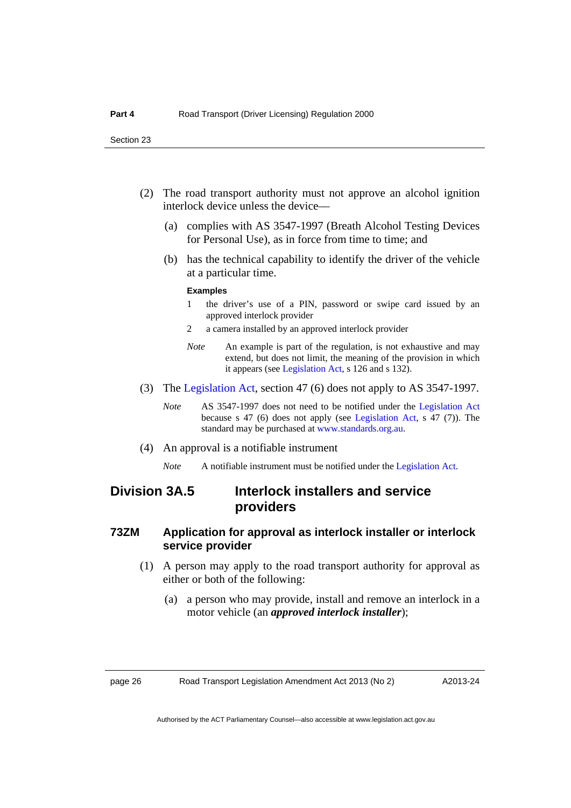- (2) The road transport authority must not approve an alcohol ignition interlock device unless the device––
	- (a) complies with AS 3547-1997 (Breath Alcohol Testing Devices for Personal Use), as in force from time to time; and
	- (b) has the technical capability to identify the driver of the vehicle at a particular time.

#### **Examples**

- 1 the driver's use of a PIN, password or swipe card issued by an approved interlock provider
- 2 a camera installed by an approved interlock provider
- *Note* An example is part of the regulation, is not exhaustive and may extend, but does not limit, the meaning of the provision in which it appears (see [Legislation Act,](http://www.legislation.act.gov.au/a/2001-14) s 126 and s 132).
- (3) The [Legislation Act](http://www.legislation.act.gov.au/a/2001-14), section 47 (6) does not apply to AS 3547-1997.
	- *Note* AS 3547-1997 does not need to be notified under the [Legislation Act](http://www.legislation.act.gov.au/a/2001-14) because s 47 (6) does not apply (see [Legislation Act](http://www.legislation.act.gov.au/a/2001-14), s 47 (7)). The standard may be purchased at [www.standards.org.au](http://www.standards.org.au/).
- (4) An approval is a notifiable instrument
	- *Note* A notifiable instrument must be notified under the [Legislation Act](http://www.legislation.act.gov.au/a/2001-14).

### **Division 3A.5 Interlock installers and service providers**

#### **73ZM Application for approval as interlock installer or interlock service provider**

- (1) A person may apply to the road transport authority for approval as either or both of the following:
	- (a) a person who may provide, install and remove an interlock in a motor vehicle (an *approved interlock installer*);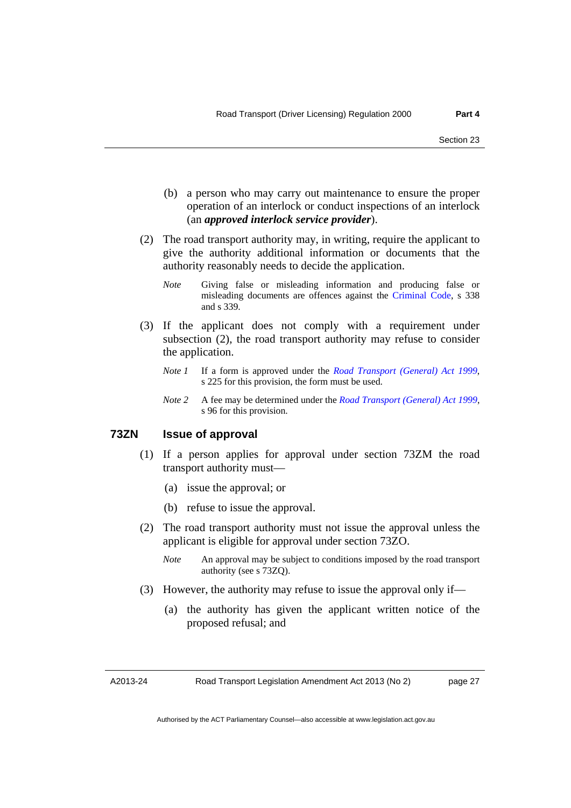- (b) a person who may carry out maintenance to ensure the proper operation of an interlock or conduct inspections of an interlock (an *approved interlock service provider*).
- (2) The road transport authority may, in writing, require the applicant to give the authority additional information or documents that the authority reasonably needs to decide the application.
	- *Note* Giving false or misleading information and producing false or misleading documents are offences against the [Criminal Code](http://www.legislation.act.gov.au/a/2002-51), s 338 and s 339.
- (3) If the applicant does not comply with a requirement under subsection (2), the road transport authority may refuse to consider the application.
	- *Note 1* If a form is approved under the *[Road Transport \(General\) Act 1999](http://www.legislation.act.gov.au/a/1999-77)*, s 225 for this provision, the form must be used.
	- *Note 2* A fee may be determined under the *[Road Transport \(General\) Act 1999](http://www.legislation.act.gov.au/a/1999-77)*, s 96 for this provision.

#### **73ZN Issue of approval**

- (1) If a person applies for approval under section 73ZM the road transport authority must—
	- (a) issue the approval; or
	- (b) refuse to issue the approval.
- (2) The road transport authority must not issue the approval unless the applicant is eligible for approval under section 73ZO.
	- *Note* An approval may be subject to conditions imposed by the road transport authority (see s 73ZQ).
- (3) However, the authority may refuse to issue the approval only if—
	- (a) the authority has given the applicant written notice of the proposed refusal; and

A2013-24

Road Transport Legislation Amendment Act 2013 (No 2)

page 27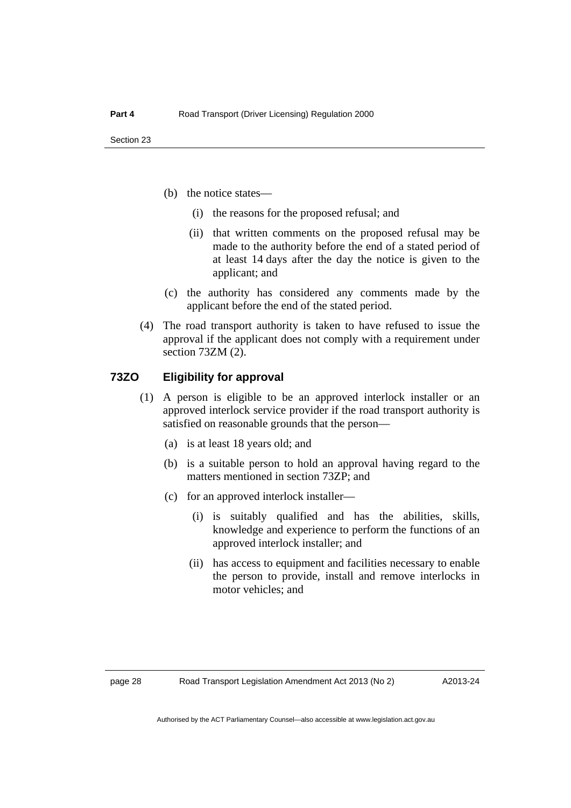- (b) the notice states––
	- (i) the reasons for the proposed refusal; and
	- (ii) that written comments on the proposed refusal may be made to the authority before the end of a stated period of at least 14 days after the day the notice is given to the applicant; and
- (c) the authority has considered any comments made by the applicant before the end of the stated period.
- (4) The road transport authority is taken to have refused to issue the approval if the applicant does not comply with a requirement under section 73ZM (2).

#### **73ZO Eligibility for approval**

- (1) A person is eligible to be an approved interlock installer or an approved interlock service provider if the road transport authority is satisfied on reasonable grounds that the person––
	- (a) is at least 18 years old; and
	- (b) is a suitable person to hold an approval having regard to the matters mentioned in section 73ZP; and
	- (c) for an approved interlock installer––
		- (i) is suitably qualified and has the abilities, skills, knowledge and experience to perform the functions of an approved interlock installer; and
		- (ii) has access to equipment and facilities necessary to enable the person to provide, install and remove interlocks in motor vehicles; and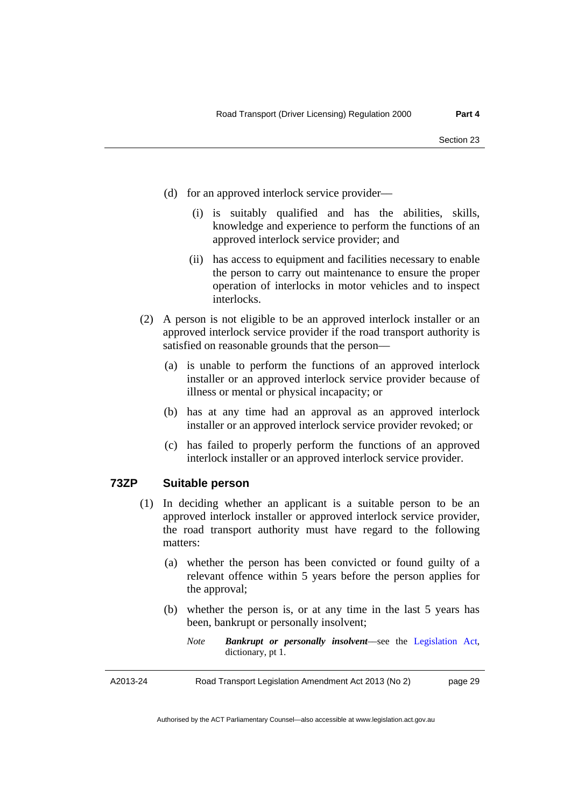- (d) for an approved interlock service provider––
	- (i) is suitably qualified and has the abilities, skills, knowledge and experience to perform the functions of an approved interlock service provider; and
	- (ii) has access to equipment and facilities necessary to enable the person to carry out maintenance to ensure the proper operation of interlocks in motor vehicles and to inspect interlocks.
- (2) A person is not eligible to be an approved interlock installer or an approved interlock service provider if the road transport authority is satisfied on reasonable grounds that the person––
	- (a) is unable to perform the functions of an approved interlock installer or an approved interlock service provider because of illness or mental or physical incapacity; or
	- (b) has at any time had an approval as an approved interlock installer or an approved interlock service provider revoked; or
	- (c) has failed to properly perform the functions of an approved interlock installer or an approved interlock service provider.

#### **73ZP Suitable person**

- (1) In deciding whether an applicant is a suitable person to be an approved interlock installer or approved interlock service provider, the road transport authority must have regard to the following matters:
	- (a) whether the person has been convicted or found guilty of a relevant offence within 5 years before the person applies for the approval;
	- (b) whether the person is, or at any time in the last 5 years has been, bankrupt or personally insolvent;
		- *Note Bankrupt or personally insolvent*––see the [Legislation Act,](http://www.legislation.act.gov.au/a/2001-14) dictionary, pt 1.

A2013-24

Road Transport Legislation Amendment Act 2013 (No 2)

page 29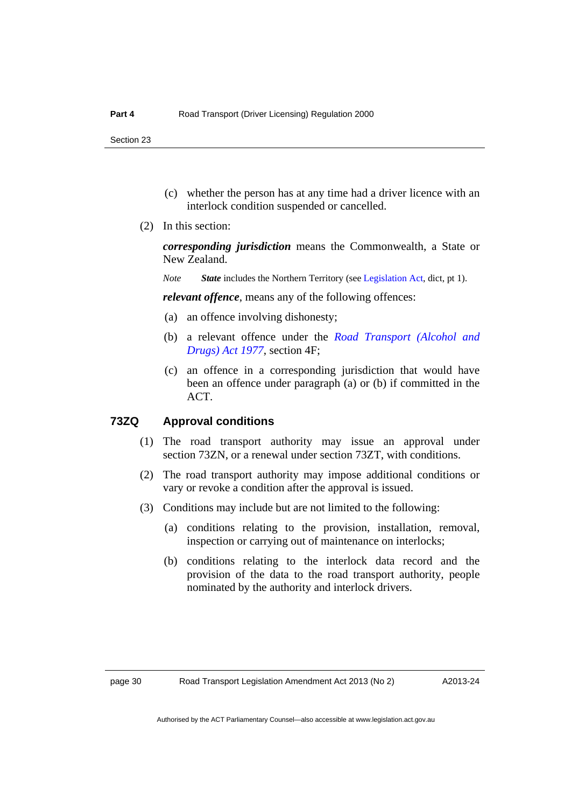- (c) whether the person has at any time had a driver licence with an interlock condition suspended or cancelled.
- (2) In this section:

*corresponding jurisdiction* means the Commonwealth, a State or New Zealand.

*Note State* includes the Northern Territory (see [Legislation Act](http://www.legislation.act.gov.au/a/2001-14), dict, pt 1).

*relevant offence*, means any of the following offences:

- (a) an offence involving dishonesty;
- (b) a relevant offence under the *[Road Transport \(Alcohol and](http://www.legislation.act.gov.au/a/1977-17)  [Drugs\) Act 1977](http://www.legislation.act.gov.au/a/1977-17)*, section 4F;
- (c) an offence in a corresponding jurisdiction that would have been an offence under paragraph (a) or (b) if committed in the ACT.

#### **73ZQ Approval conditions**

- (1) The road transport authority may issue an approval under section 73ZN, or a renewal under section 73ZT, with conditions.
- (2) The road transport authority may impose additional conditions or vary or revoke a condition after the approval is issued.
- (3) Conditions may include but are not limited to the following:
	- (a) conditions relating to the provision, installation, removal, inspection or carrying out of maintenance on interlocks;
	- (b) conditions relating to the interlock data record and the provision of the data to the road transport authority, people nominated by the authority and interlock drivers.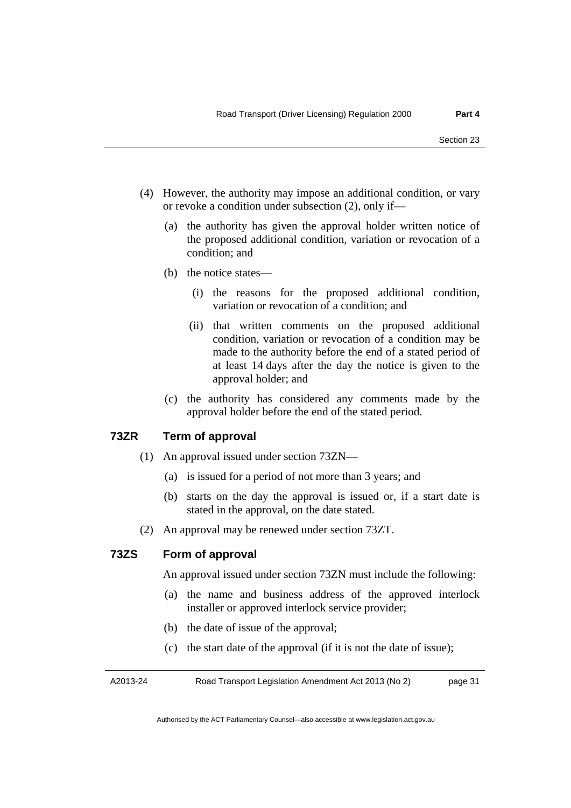- (4) However, the authority may impose an additional condition, or vary or revoke a condition under subsection (2), only if—
	- (a) the authority has given the approval holder written notice of the proposed additional condition, variation or revocation of a condition; and
	- (b) the notice states—
		- (i) the reasons for the proposed additional condition, variation or revocation of a condition; and
		- (ii) that written comments on the proposed additional condition, variation or revocation of a condition may be made to the authority before the end of a stated period of at least 14 days after the day the notice is given to the approval holder; and
	- (c) the authority has considered any comments made by the approval holder before the end of the stated period.

#### **73ZR Term of approval**

- (1) An approval issued under section 73ZN––
	- (a) is issued for a period of not more than 3 years; and
	- (b) starts on the day the approval is issued or, if a start date is stated in the approval, on the date stated.
- (2) An approval may be renewed under section 73ZT.

#### **73ZS Form of approval**

An approval issued under section 73ZN must include the following:

- (a) the name and business address of the approved interlock installer or approved interlock service provider;
- (b) the date of issue of the approval;
- (c) the start date of the approval (if it is not the date of issue);

A2013-24 Road Transport Legislation Amendment Act 2013 (No 2) page 31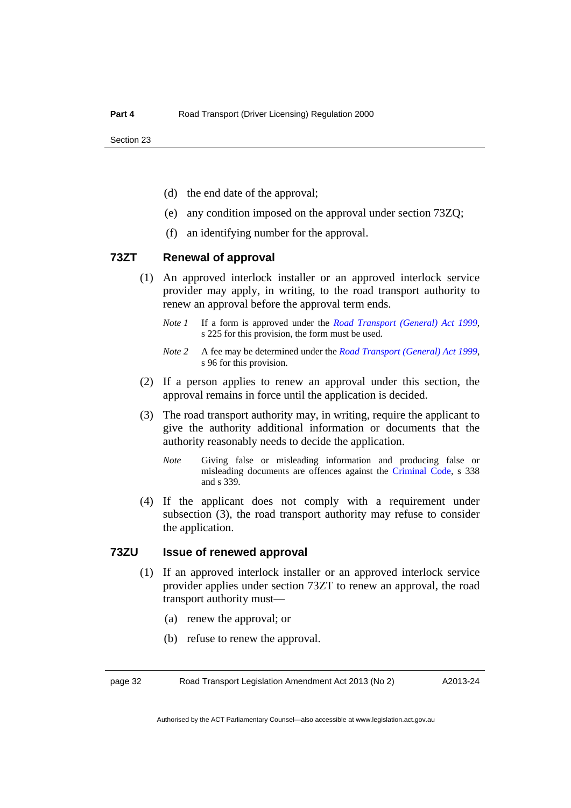- (d) the end date of the approval;
- (e) any condition imposed on the approval under section 73ZQ;
- (f) an identifying number for the approval.

#### **73ZT Renewal of approval**

- (1) An approved interlock installer or an approved interlock service provider may apply, in writing, to the road transport authority to renew an approval before the approval term ends.
	- *Note 1* If a form is approved under the *[Road Transport \(General\) Act 1999](http://www.legislation.act.gov.au/a/1999-77)*, s 225 for this provision, the form must be used.
	- *Note 2* A fee may be determined under the *[Road Transport \(General\) Act 1999](http://www.legislation.act.gov.au/a/1999-77)*, s 96 for this provision.
- (2) If a person applies to renew an approval under this section, the approval remains in force until the application is decided.
- (3) The road transport authority may, in writing, require the applicant to give the authority additional information or documents that the authority reasonably needs to decide the application.
	- *Note* Giving false or misleading information and producing false or misleading documents are offences against the [Criminal Code](http://www.legislation.act.gov.au/a/2002-51), s 338 and s 339.
- (4) If the applicant does not comply with a requirement under subsection (3), the road transport authority may refuse to consider the application.

#### **73ZU Issue of renewed approval**

- (1) If an approved interlock installer or an approved interlock service provider applies under section 73ZT to renew an approval, the road transport authority must—
	- (a) renew the approval; or
	- (b) refuse to renew the approval.

page 32 Road Transport Legislation Amendment Act 2013 (No 2)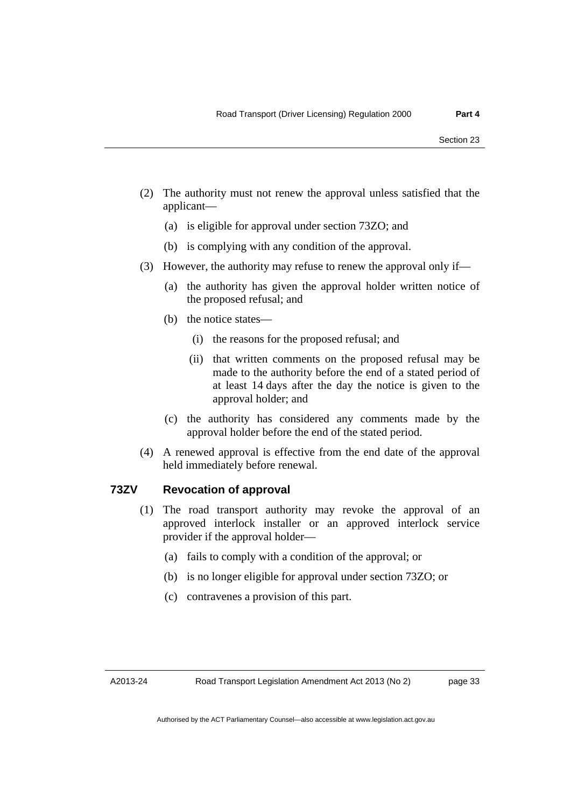- (2) The authority must not renew the approval unless satisfied that the applicant––
	- (a) is eligible for approval under section 73ZO; and
	- (b) is complying with any condition of the approval.
- (3) However, the authority may refuse to renew the approval only if—
	- (a) the authority has given the approval holder written notice of the proposed refusal; and
	- (b) the notice states––
		- (i) the reasons for the proposed refusal; and
		- (ii) that written comments on the proposed refusal may be made to the authority before the end of a stated period of at least 14 days after the day the notice is given to the approval holder; and
	- (c) the authority has considered any comments made by the approval holder before the end of the stated period.
- (4) A renewed approval is effective from the end date of the approval held immediately before renewal.

#### **73ZV Revocation of approval**

- (1) The road transport authority may revoke the approval of an approved interlock installer or an approved interlock service provider if the approval holder—
	- (a) fails to comply with a condition of the approval; or
	- (b) is no longer eligible for approval under section 73ZO; or
	- (c) contravenes a provision of this part.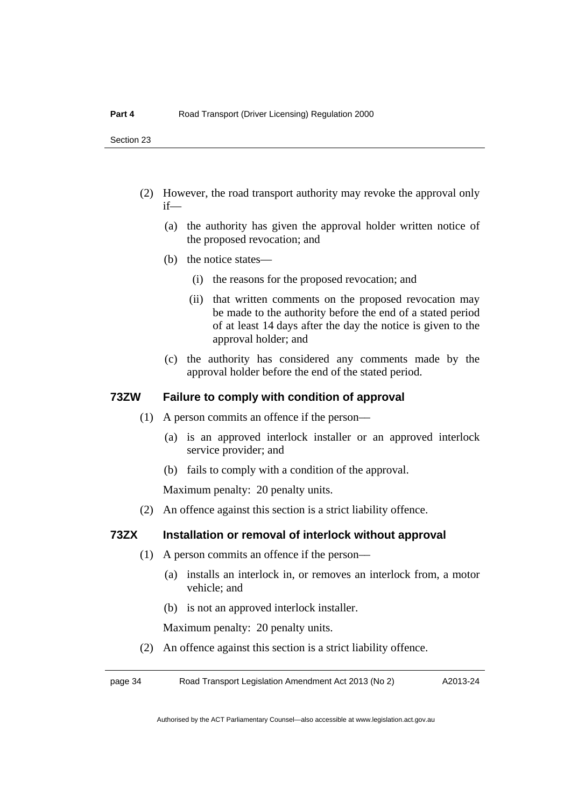- (2) However, the road transport authority may revoke the approval only if—
	- (a) the authority has given the approval holder written notice of the proposed revocation; and
	- (b) the notice states—
		- (i) the reasons for the proposed revocation; and
		- (ii) that written comments on the proposed revocation may be made to the authority before the end of a stated period of at least 14 days after the day the notice is given to the approval holder; and
	- (c) the authority has considered any comments made by the approval holder before the end of the stated period.

#### **73ZW Failure to comply with condition of approval**

- (1) A person commits an offence if the person––
	- (a) is an approved interlock installer or an approved interlock service provider; and
	- (b) fails to comply with a condition of the approval.

Maximum penalty: 20 penalty units.

(2) An offence against this section is a strict liability offence.

#### **73ZX Installation or removal of interlock without approval**

- (1) A person commits an offence if the person––
	- (a) installs an interlock in, or removes an interlock from, a motor vehicle; and
	- (b) is not an approved interlock installer.

Maximum penalty: 20 penalty units.

(2) An offence against this section is a strict liability offence.

page 34 Road Transport Legislation Amendment Act 2013 (No 2)

A2013-24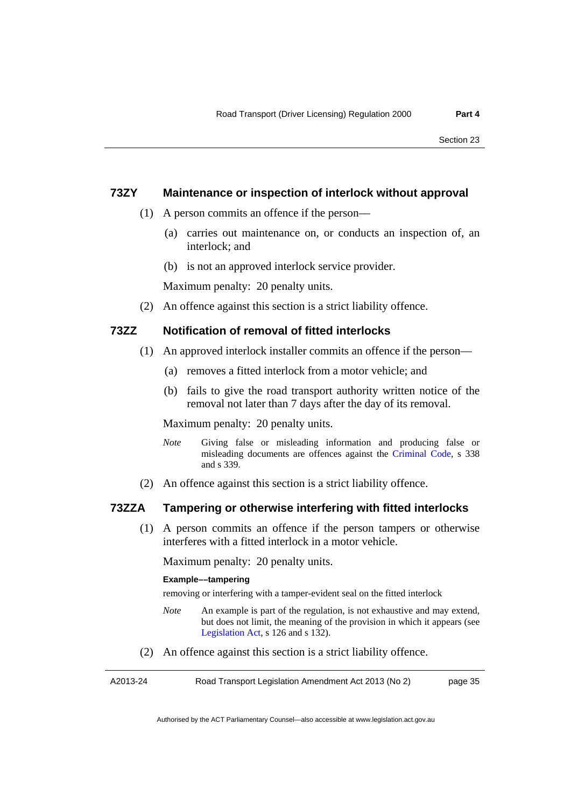#### **73ZY Maintenance or inspection of interlock without approval**

- (1) A person commits an offence if the person––
	- (a) carries out maintenance on, or conducts an inspection of, an interlock; and
	- (b) is not an approved interlock service provider.

Maximum penalty: 20 penalty units.

(2) An offence against this section is a strict liability offence.

#### **73ZZ Notification of removal of fitted interlocks**

- (1) An approved interlock installer commits an offence if the person—
	- (a) removes a fitted interlock from a motor vehicle; and
	- (b) fails to give the road transport authority written notice of the removal not later than 7 days after the day of its removal.

Maximum penalty: 20 penalty units.

- *Note* Giving false or misleading information and producing false or misleading documents are offences against the [Criminal Code](http://www.legislation.act.gov.au/a/2002-51), s 338 and s 339.
- (2) An offence against this section is a strict liability offence.

#### **73ZZA Tampering or otherwise interfering with fitted interlocks**

 (1) A person commits an offence if the person tampers or otherwise interferes with a fitted interlock in a motor vehicle.

Maximum penalty: 20 penalty units.

#### **Example––tampering**

removing or interfering with a tamper-evident seal on the fitted interlock

- *Note* An example is part of the regulation, is not exhaustive and may extend, but does not limit, the meaning of the provision in which it appears (see [Legislation Act,](http://www.legislation.act.gov.au/a/2001-14) s 126 and s 132).
- (2) An offence against this section is a strict liability offence.

A2013-24 Road Transport Legislation Amendment Act 2013 (No 2) page 35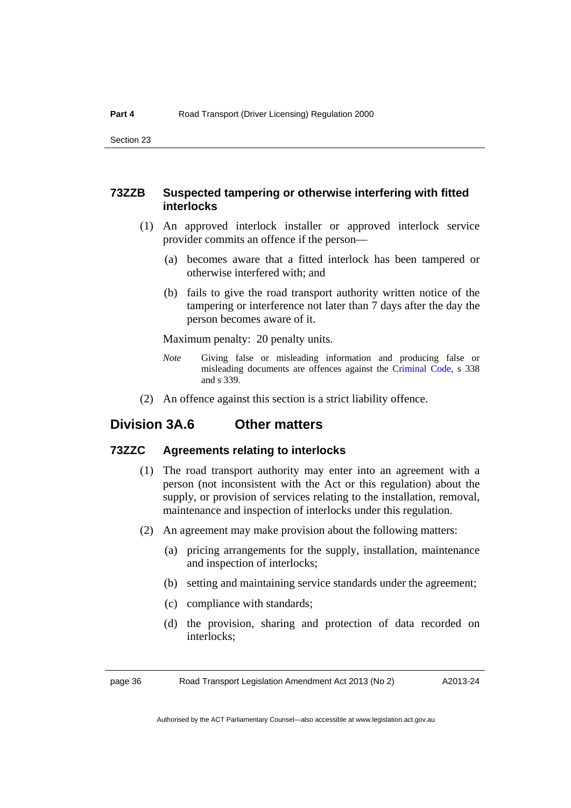#### **73ZZB Suspected tampering or otherwise interfering with fitted interlocks**

- (1) An approved interlock installer or approved interlock service provider commits an offence if the person––
	- (a) becomes aware that a fitted interlock has been tampered or otherwise interfered with; and
	- (b) fails to give the road transport authority written notice of the tampering or interference not later than 7 days after the day the person becomes aware of it.

Maximum penalty: 20 penalty units.

- *Note* Giving false or misleading information and producing false or misleading documents are offences against the [Criminal Code](http://www.legislation.act.gov.au/a/2002-51), s 338 and s 339.
- (2) An offence against this section is a strict liability offence.

### **Division 3A.6 Other matters**

#### **73ZZC Agreements relating to interlocks**

- (1) The road transport authority may enter into an agreement with a person (not inconsistent with the Act or this regulation) about the supply, or provision of services relating to the installation, removal, maintenance and inspection of interlocks under this regulation.
- (2) An agreement may make provision about the following matters:
	- (a) pricing arrangements for the supply, installation, maintenance and inspection of interlocks;
	- (b) setting and maintaining service standards under the agreement;
	- (c) compliance with standards;
	- (d) the provision, sharing and protection of data recorded on interlocks;

page 36 Road Transport Legislation Amendment Act 2013 (No 2)

A2013-24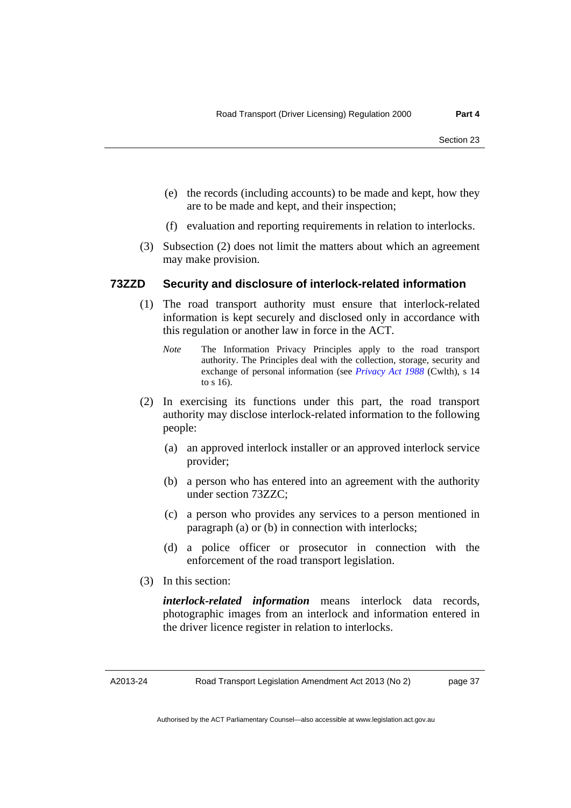- (e) the records (including accounts) to be made and kept, how they are to be made and kept, and their inspection;
- (f) evaluation and reporting requirements in relation to interlocks.
- (3) Subsection (2) does not limit the matters about which an agreement may make provision.

#### **73ZZD Security and disclosure of interlock-related information**

- (1) The road transport authority must ensure that interlock-related information is kept securely and disclosed only in accordance with this regulation or another law in force in the ACT.
	- *Note* The Information Privacy Principles apply to the road transport authority. The Principles deal with the collection, storage, security and exchange of personal information (see *[Privacy Act 1988](http://www.comlaw.gov.au/Series/C2004A03712)* (Cwlth), s 14 to s 16).
- (2) In exercising its functions under this part, the road transport authority may disclose interlock-related information to the following people:
	- (a) an approved interlock installer or an approved interlock service provider;
	- (b) a person who has entered into an agreement with the authority under section 73ZZC;
	- (c) a person who provides any services to a person mentioned in paragraph (a) or (b) in connection with interlocks;
	- (d) a police officer or prosecutor in connection with the enforcement of the road transport legislation.
- (3) In this section:

*interlock-related information* means interlock data records, photographic images from an interlock and information entered in the driver licence register in relation to interlocks.

Road Transport Legislation Amendment Act 2013 (No 2)

page 37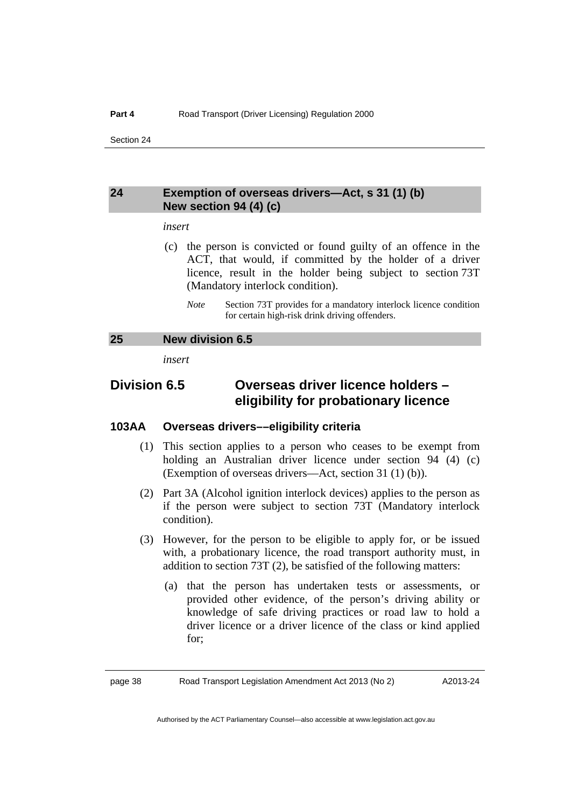#### <span id="page-41-0"></span>**24 Exemption of overseas drivers—Act, s 31 (1) (b) New section 94 (4) (c)**

#### *insert*

- (c) the person is convicted or found guilty of an offence in the ACT, that would, if committed by the holder of a driver licence, result in the holder being subject to section 73T (Mandatory interlock condition).
	- *Note* Section 73T provides for a mandatory interlock licence condition for certain high-risk drink driving offenders.

#### <span id="page-41-1"></span>**25 New division 6.5**

*insert* 

### **Division 6.5 Overseas driver licence holders – eligibility for probationary licence**

#### **103AA Overseas drivers––eligibility criteria**

- (1) This section applies to a person who ceases to be exempt from holding an Australian driver licence under section 94 (4) (c) (Exemption of overseas drivers––Act, section 31 (1) (b)).
- (2) Part 3A (Alcohol ignition interlock devices) applies to the person as if the person were subject to section 73T (Mandatory interlock condition).
- (3) However, for the person to be eligible to apply for, or be issued with, a probationary licence, the road transport authority must, in addition to section 73T (2), be satisfied of the following matters:
	- (a) that the person has undertaken tests or assessments, or provided other evidence, of the person's driving ability or knowledge of safe driving practices or road law to hold a driver licence or a driver licence of the class or kind applied for;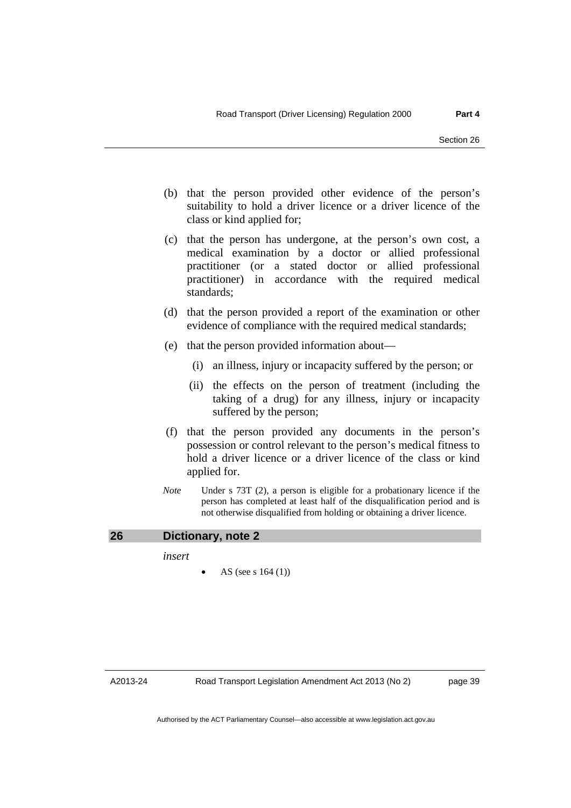- (b) that the person provided other evidence of the person's suitability to hold a driver licence or a driver licence of the class or kind applied for;
- (c) that the person has undergone, at the person's own cost, a medical examination by a doctor or allied professional practitioner (or a stated doctor or allied professional practitioner) in accordance with the required medical standards;
- (d) that the person provided a report of the examination or other evidence of compliance with the required medical standards;
- (e) that the person provided information about—
	- (i) an illness, injury or incapacity suffered by the person; or
	- (ii) the effects on the person of treatment (including the taking of a drug) for any illness, injury or incapacity suffered by the person;
- (f) that the person provided any documents in the person's possession or control relevant to the person's medical fitness to hold a driver licence or a driver licence of the class or kind applied for.
- *Note* Under s 73T (2), a person is eligible for a probationary licence if the person has completed at least half of the disqualification period and is not otherwise disqualified from holding or obtaining a driver licence.

#### <span id="page-42-0"></span>**26 Dictionary, note 2**

*insert* 

AS (see s 164 (1))

A2013-24

Road Transport Legislation Amendment Act 2013 (No 2)

page 39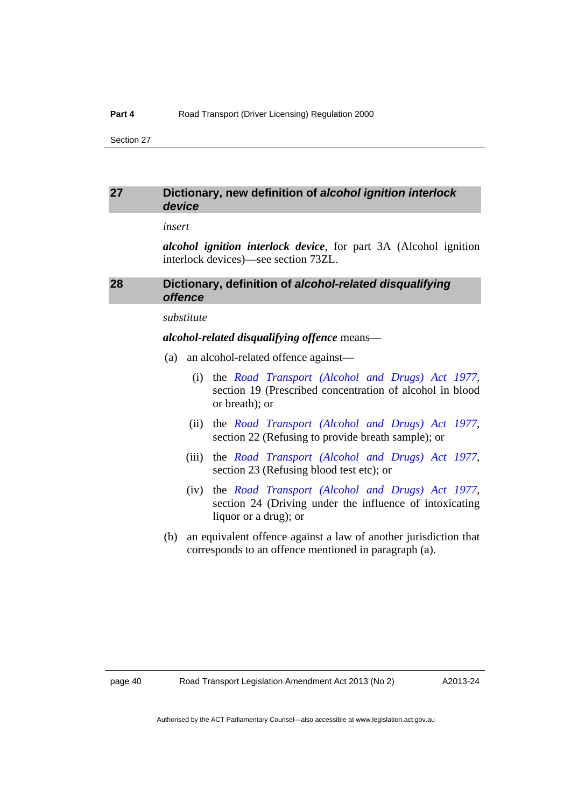#### <span id="page-43-0"></span>**27 Dictionary, new definition of** *alcohol ignition interlock device*

#### *insert*

*alcohol ignition interlock device*, for part 3A (Alcohol ignition interlock devices)––see section 73ZL.

#### <span id="page-43-1"></span>**28 Dictionary, definition of** *alcohol-related disqualifying offence*

#### *substitute*

#### *alcohol-related disqualifying offence* means—

- (a) an alcohol-related offence against––
	- (i) the *[Road Transport \(Alcohol and Drugs\) Act 1977](http://www.legislation.act.gov.au/a/1977-17),* section 19 (Prescribed concentration of alcohol in blood or breath); or
	- (ii) the *[Road Transport \(Alcohol and Drugs\) Act 1977](http://www.legislation.act.gov.au/a/1977-17),*  section 22 (Refusing to provide breath sample); or
	- (iii) the *[Road Transport \(Alcohol and Drugs\) Act 1977](http://www.legislation.act.gov.au/a/1977-17),*  section 23 (Refusing blood test etc); or
	- (iv) the *[Road Transport \(Alcohol and Drugs\) Act 1977](http://www.legislation.act.gov.au/a/1977-17),*  section 24 (Driving under the influence of intoxicating liquor or a drug); or
- (b) an equivalent offence against a law of another jurisdiction that corresponds to an offence mentioned in paragraph (a).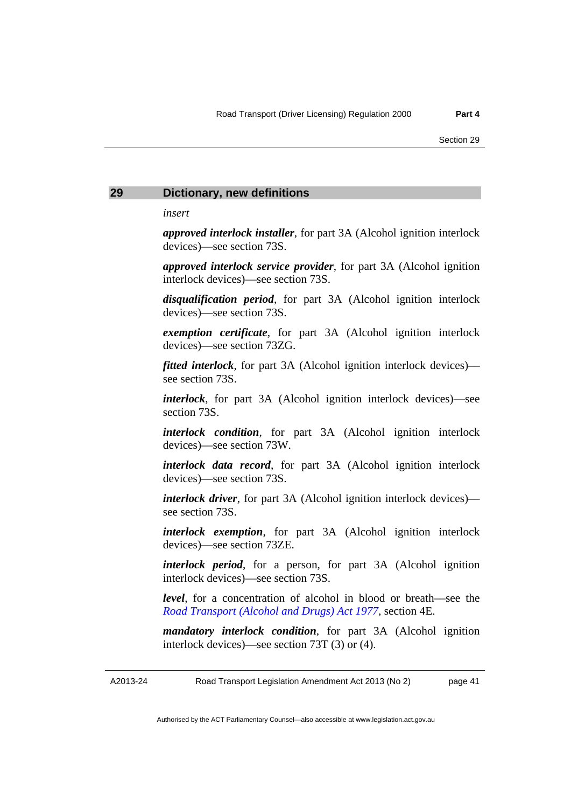#### <span id="page-44-0"></span>**29 Dictionary, new definitions**

*insert* 

*approved interlock installer*, for part 3A (Alcohol ignition interlock devices)––see section 73S.

*approved interlock service provider*, for part 3A (Alcohol ignition interlock devices)––see section 73S.

*disqualification period*, for part 3A (Alcohol ignition interlock devices)––see section 73S.

*exemption certificate*, for part 3A (Alcohol ignition interlock devices)––see section 73ZG.

*fitted interlock*, for part 3A (Alcohol ignition interlock devices)–– see section 73S.

*interlock*, for part 3A (Alcohol ignition interlock devices)––see section 73S.

*interlock condition*, for part 3A (Alcohol ignition interlock devices)––see section 73W.

*interlock data record*, for part 3A (Alcohol ignition interlock devices)––see section 73S.

*interlock driver*, for part 3A (Alcohol ignition interlock devices) see section 73S.

*interlock exemption*, for part 3A (Alcohol ignition interlock devices)––see section 73ZE.

*interlock period*, for a person, for part 3A (Alcohol ignition interlock devices)––see section 73S.

*level*, for a concentration of alcohol in blood or breath––see the *[Road Transport \(Alcohol and Drugs\) Act 1977](http://www.legislation.act.gov.au/a/1977-17)*, section 4E.

*mandatory interlock condition*, for part 3A (Alcohol ignition interlock devices)––see section 73T (3) or (4).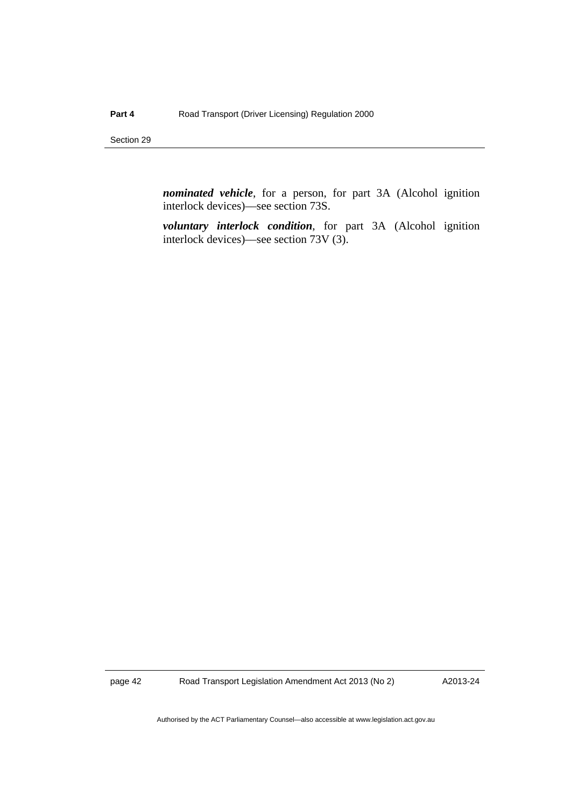*nominated vehicle*, for a person, for part 3A (Alcohol ignition interlock devices)––see section 73S.

*voluntary interlock condition*, for part 3A (Alcohol ignition interlock devices)––see section 73V (3).

page 42 Road Transport Legislation Amendment Act 2013 (No 2)

A2013-24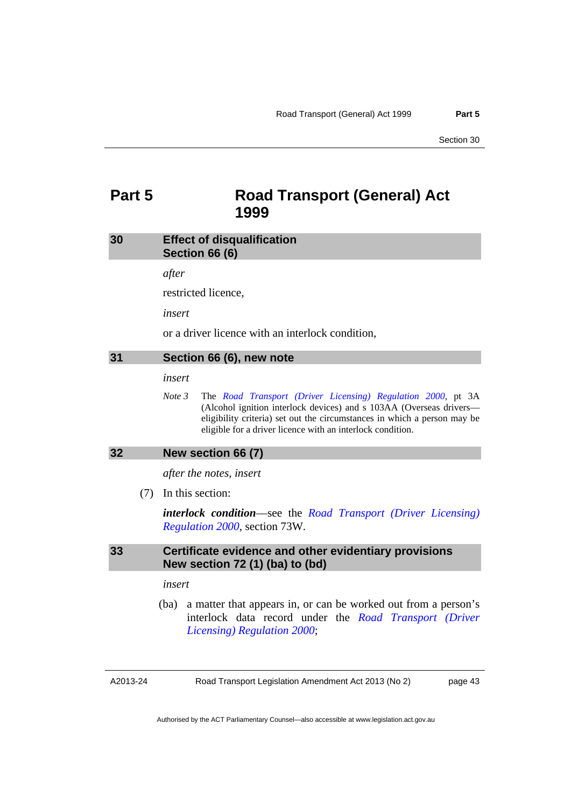### <span id="page-46-0"></span>**Part 5 Road Transport (General) Act 1999**

#### <span id="page-46-1"></span>**30 Effect of disqualification Section 66 (6)**

*after* 

restricted licence,

*insert* 

or a driver licence with an interlock condition,

#### <span id="page-46-2"></span>**31 Section 66 (6), new note**

*insert* 

*Note 3* The *[Road Transport \(Driver Licensing\) Regulation 2000](http://www.legislation.act.gov.au/sl/2000-14)*, pt 3A (Alcohol ignition interlock devices) and s 103AA (Overseas drivers–– eligibility criteria) set out the circumstances in which a person may be eligible for a driver licence with an interlock condition.

#### <span id="page-46-3"></span>**32 New section 66 (7)**

*after the notes, insert* 

(7) In this section:

*interlock condition*––see the *[Road Transport \(Driver Licensing\)](http://www.legislation.act.gov.au/sl/2000-14)  [Regulation 2000](http://www.legislation.act.gov.au/sl/2000-14)*, section 73W.

#### <span id="page-46-4"></span>**33 Certificate evidence and other evidentiary provisions New section 72 (1) (ba) to (bd)**

#### *insert*

 (ba) a matter that appears in, or can be worked out from a person's interlock data record under the *[Road Transport \(Driver](http://www.legislation.act.gov.au/sl/2000-14)  [Licensing\) Regulation 2000](http://www.legislation.act.gov.au/sl/2000-14)*;

A2013-24

Road Transport Legislation Amendment Act 2013 (No 2)

page 43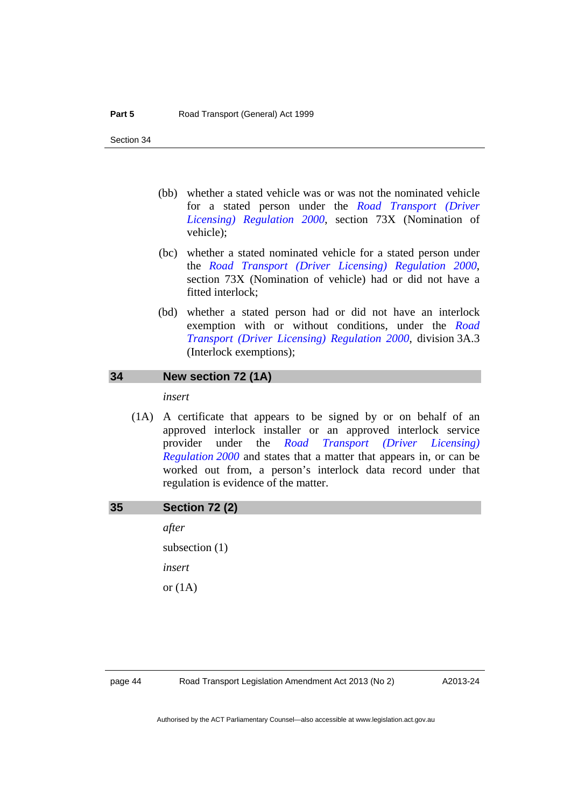- (bb) whether a stated vehicle was or was not the nominated vehicle for a stated person under the *[Road Transport \(Driver](http://www.legislation.act.gov.au/sl/2000-14)  [Licensing\) Regulation 2000](http://www.legislation.act.gov.au/sl/2000-14)*, section 73X (Nomination of vehicle);
- (bc) whether a stated nominated vehicle for a stated person under the *[Road Transport \(Driver Licensing\) Regulation 2000](http://www.legislation.act.gov.au/sl/2000-14)*, section 73X (Nomination of vehicle) had or did not have a fitted interlock;
- (bd) whether a stated person had or did not have an interlock exemption with or without conditions, under the *[Road](http://www.legislation.act.gov.au/sl/2000-14)  [Transport \(Driver Licensing\) Regulation 2000](http://www.legislation.act.gov.au/sl/2000-14)*, division 3A.3 (Interlock exemptions);

#### <span id="page-47-0"></span>**34 New section 72 (1A)**

*insert* 

 (1A) A certificate that appears to be signed by or on behalf of an approved interlock installer or an approved interlock service provider under the *[Road Transport \(Driver Licensing\)](http://www.legislation.act.gov.au/sl/2000-14)  [Regulation 2000](http://www.legislation.act.gov.au/sl/2000-14)* and states that a matter that appears in, or can be worked out from, a person's interlock data record under that regulation is evidence of the matter.

#### <span id="page-47-1"></span>**35 Section 72 (2)**

*after*  subsection (1) *insert*  or  $(1A)$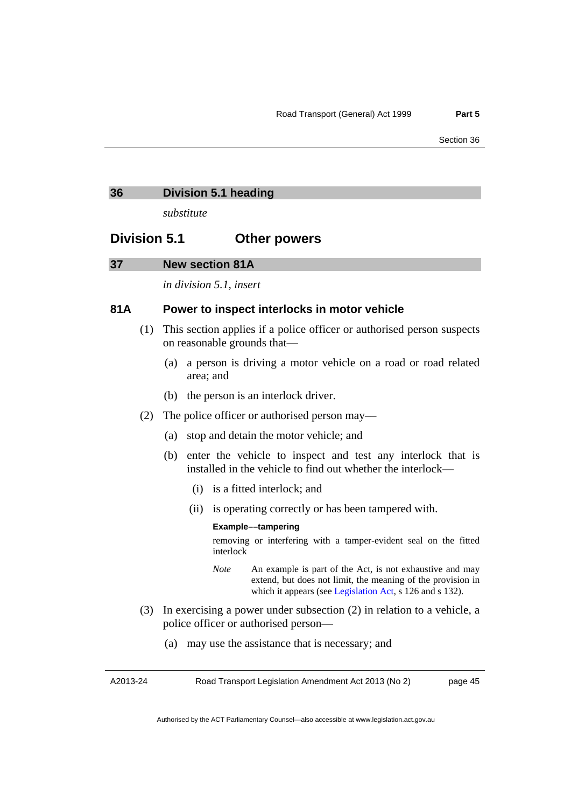#### <span id="page-48-0"></span>**36 Division 5.1 heading**

*substitute* 

### **Division 5.1 Other powers**

#### <span id="page-48-1"></span>**37 New section 81A**

*in division 5.1, insert* 

#### **81A Power to inspect interlocks in motor vehicle**

- (1) This section applies if a police officer or authorised person suspects on reasonable grounds that—
	- (a) a person is driving a motor vehicle on a road or road related area; and
	- (b) the person is an interlock driver.
- (2) The police officer or authorised person may––
	- (a) stop and detain the motor vehicle; and
	- (b) enter the vehicle to inspect and test any interlock that is installed in the vehicle to find out whether the interlock––
		- (i) is a fitted interlock; and
		- (ii) is operating correctly or has been tampered with.

#### **Example––tampering**

removing or interfering with a tamper-evident seal on the fitted interlock

- *Note* An example is part of the Act, is not exhaustive and may extend, but does not limit, the meaning of the provision in which it appears (see [Legislation Act,](http://www.legislation.act.gov.au/a/2001-14) s 126 and s 132).
- (3) In exercising a power under subsection (2) in relation to a vehicle, a police officer or authorised person—
	- (a) may use the assistance that is necessary; and

A2013-24

Road Transport Legislation Amendment Act 2013 (No 2)

page 45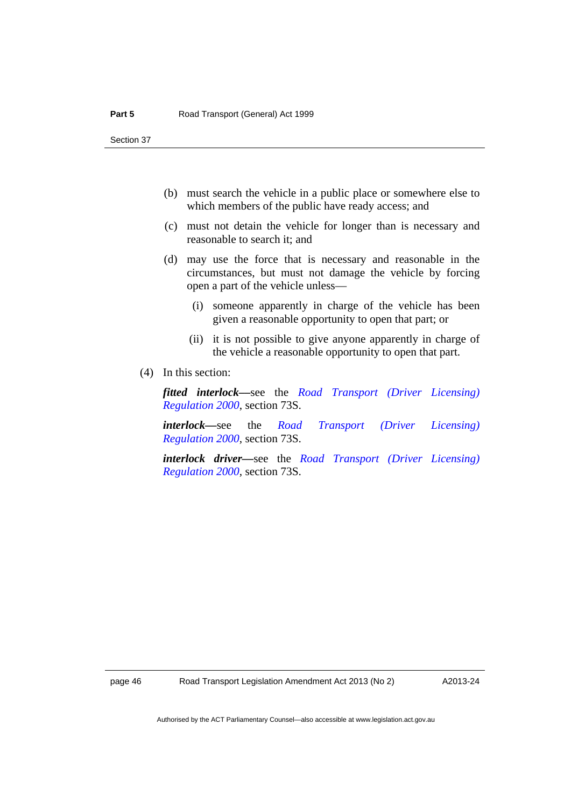- (b) must search the vehicle in a public place or somewhere else to which members of the public have ready access; and
- (c) must not detain the vehicle for longer than is necessary and reasonable to search it; and
- (d) may use the force that is necessary and reasonable in the circumstances, but must not damage the vehicle by forcing open a part of the vehicle unless—
	- (i) someone apparently in charge of the vehicle has been given a reasonable opportunity to open that part; or
	- (ii) it is not possible to give anyone apparently in charge of the vehicle a reasonable opportunity to open that part.
- (4) In this section:

*fitted interlock––*see the *[Road Transport \(Driver Licensing\)](http://www.legislation.act.gov.au/sl/2000-14)  [Regulation 2000](http://www.legislation.act.gov.au/sl/2000-14)*, section 73S.

*interlock––*see the *[Road Transport \(Driver Licensing\)](http://www.legislation.act.gov.au/sl/2000-14)  [Regulation 2000](http://www.legislation.act.gov.au/sl/2000-14)*, section 73S.

*interlock driver––*see the *[Road Transport \(Driver Licensing\)](http://www.legislation.act.gov.au/sl/2000-14)  [Regulation 2000](http://www.legislation.act.gov.au/sl/2000-14)*, section 73S.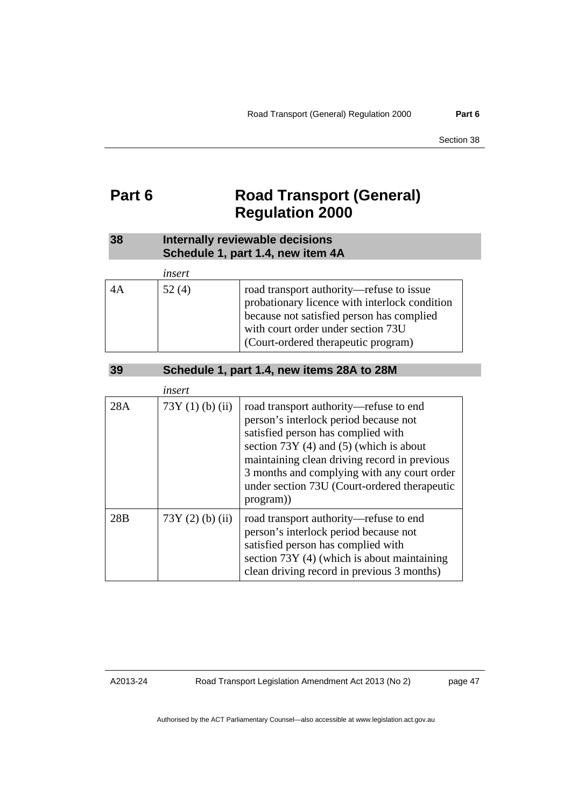### <span id="page-50-0"></span>**Part 6 Road Transport (General) Regulation 2000**

### <span id="page-50-1"></span>**38 Internally reviewable decisions Schedule 1, part 1.4, new item 4A**

|    | insert |                                                                                                                                                                                                                     |
|----|--------|---------------------------------------------------------------------------------------------------------------------------------------------------------------------------------------------------------------------|
| 4Α | 52(4)  | road transport authority—refuse to issue<br>probationary licence with interlock condition<br>because not satisfied person has complied<br>with court order under section 73U<br>(Court-ordered therapeutic program) |

| 39 | Schedule 1, part 1.4, new items 28A to 28M |
|----|--------------------------------------------|
|    |                                            |

<span id="page-50-2"></span>

|     | insert            |                                                                                                                                                                                                                                                                                                                                |
|-----|-------------------|--------------------------------------------------------------------------------------------------------------------------------------------------------------------------------------------------------------------------------------------------------------------------------------------------------------------------------|
| 28A | $73Y(1)$ (b) (ii) | road transport authority—refuse to end<br>person's interlock period because not<br>satisfied person has complied with<br>section $73Y(4)$ and $(5)$ (which is about<br>maintaining clean driving record in previous<br>3 months and complying with any court order<br>under section 73U (Court-ordered therapeutic<br>program) |
| 28B | $73Y(2)$ (b) (ii) | road transport authority—refuse to end<br>person's interlock period because not<br>satisfied person has complied with<br>section 73Y (4) (which is about maintaining<br>clean driving record in previous 3 months)                                                                                                             |

A2013-24

Road Transport Legislation Amendment Act 2013 (No 2)

page 47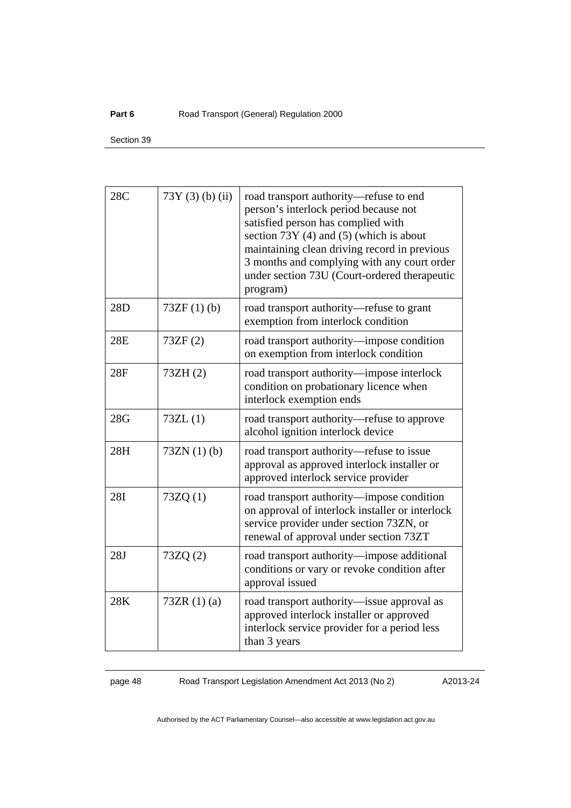#### Part 6 **Part 6 Road Transport (General) Regulation 2000**

Section 39

| 28C        | $73Y(3)$ (b) (ii) | road transport authority-refuse to end<br>person's interlock period because not<br>satisfied person has complied with<br>section 73Y (4) and (5) (which is about<br>maintaining clean driving record in previous<br>3 months and complying with any court order<br>under section 73U (Court-ordered therapeutic<br>program) |
|------------|-------------------|-----------------------------------------------------------------------------------------------------------------------------------------------------------------------------------------------------------------------------------------------------------------------------------------------------------------------------|
| 28D        | $73ZF(1)$ (b)     | road transport authority—refuse to grant<br>exemption from interlock condition                                                                                                                                                                                                                                              |
| 28E        | 73ZF(2)           | road transport authority—impose condition<br>on exemption from interlock condition                                                                                                                                                                                                                                          |
| 28F        | 73ZH(2)           | road transport authority—impose interlock<br>condition on probationary licence when<br>interlock exemption ends                                                                                                                                                                                                             |
| 28G        | 73ZL(1)           | road transport authority—refuse to approve<br>alcohol ignition interlock device                                                                                                                                                                                                                                             |
| 28H        | $73ZN(1)$ (b)     | road transport authority—refuse to issue<br>approval as approved interlock installer or<br>approved interlock service provider                                                                                                                                                                                              |
| <b>28I</b> | 73ZQ(1)           | road transport authority-impose condition<br>on approval of interlock installer or interlock<br>service provider under section 73ZN, or<br>renewal of approval under section 73ZT                                                                                                                                           |
| 28J        | 73ZQ(2)           | road transport authority-impose additional<br>conditions or vary or revoke condition after<br>approval issued                                                                                                                                                                                                               |
| 28K        | 73ZR $(1)(a)$     | road transport authority—issue approval as<br>approved interlock installer or approved<br>interlock service provider for a period less<br>than 3 years                                                                                                                                                                      |

page 48 Road Transport Legislation Amendment Act 2013 (No 2)

A2013-24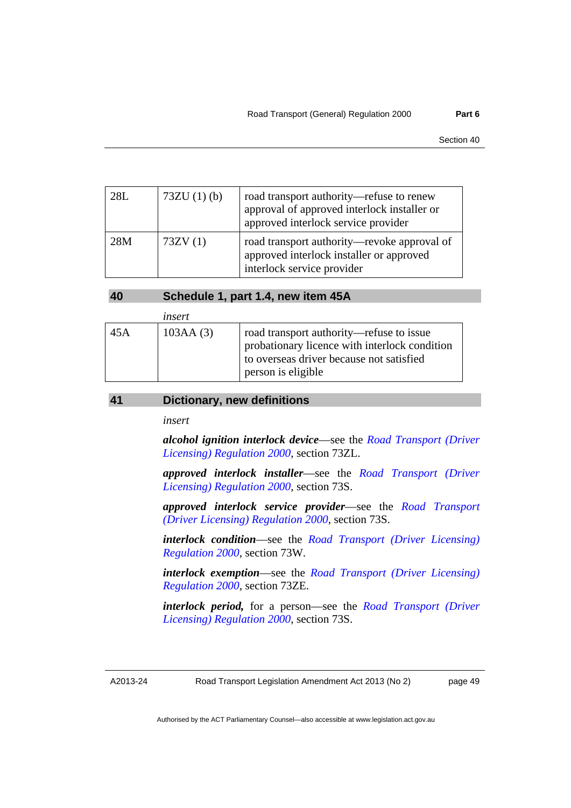| 28L | $73ZU(1)$ (b) | road transport authority-refuse to renew<br>approval of approved interlock installer or<br>approved interlock service provider |
|-----|---------------|--------------------------------------------------------------------------------------------------------------------------------|
| 28M | 73ZV(1)       | road transport authority—revoke approval of<br>approved interlock installer or approved<br>interlock service provider          |

| 40<br>Schedule 1, part 1.4, new item 45A |
|------------------------------------------|
|------------------------------------------|

<span id="page-52-0"></span>

|     | insert   |                                                                                                                                                             |
|-----|----------|-------------------------------------------------------------------------------------------------------------------------------------------------------------|
| 45A | 103AA(3) | road transport authority—refuse to issue<br>probationary licence with interlock condition<br>to overseas driver because not satisfied<br>person is eligible |

#### <span id="page-52-1"></span>**41 Dictionary, new definitions**

*insert* 

*alcohol ignition interlock device*––see the *[Road Transport \(Driver](http://www.legislation.act.gov.au/sl/2000-14)  [Licensing\) Regulation 2000](http://www.legislation.act.gov.au/sl/2000-14)*, section 73ZL.

*approved interlock installer*––see the *[Road Transport \(Driver](http://www.legislation.act.gov.au/sl/2000-14)  [Licensing\) Regulation 2000](http://www.legislation.act.gov.au/sl/2000-14)*, section 73S.

*approved interlock service provider*––see the *[Road Transport](http://www.legislation.act.gov.au/sl/2000-14)  [\(Driver Licensing\) Regulation 2000](http://www.legislation.act.gov.au/sl/2000-14)*, section 73S.

*interlock condition*––see the *[Road Transport \(Driver Licensing\)](http://www.legislation.act.gov.au/sl/2000-14)  [Regulation 2000](http://www.legislation.act.gov.au/sl/2000-14)*, section 73W.

*interlock exemption*––see the *[Road Transport \(Driver Licensing\)](http://www.legislation.act.gov.au/sl/2000-14)  [Regulation 2000](http://www.legislation.act.gov.au/sl/2000-14)*, section 73ZE.

*interlock period,* for a person––see the *[Road Transport \(Driver](http://www.legislation.act.gov.au/sl/2000-14)  [Licensing\) Regulation 2000](http://www.legislation.act.gov.au/sl/2000-14)*, section 73S.

A2013-24

Road Transport Legislation Amendment Act 2013 (No 2)

page 49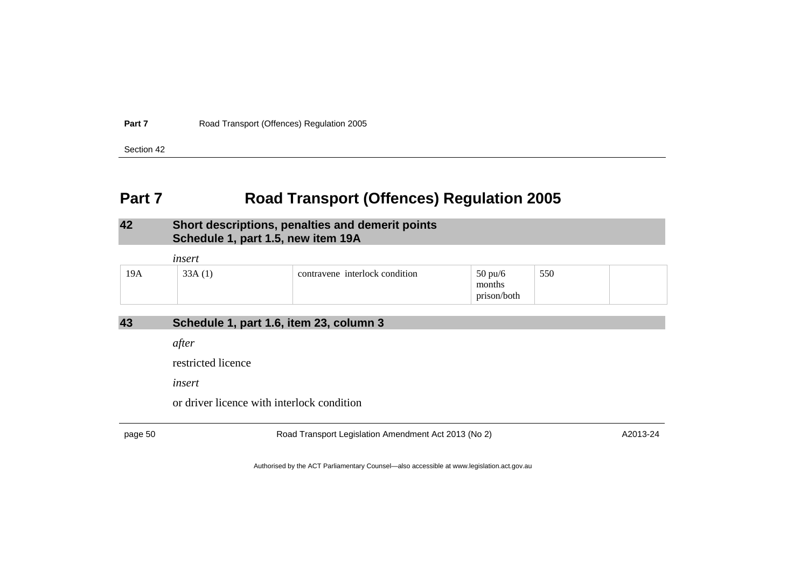**Part 7**Road Transport (Offences) Regulation 2005

Section 42

### **Part 7 Road Transport (Offences) Regulation 2005**

#### **42 Short descriptions, penalties and demerit points Schedule 1, part 1.5, new item 19A**

|     | insert |                                |                                            |     |  |
|-----|--------|--------------------------------|--------------------------------------------|-----|--|
| 19A | 33A(1) | contravene interlock condition | $50 \text{ pu/6}$<br>months<br>prison/both | 550 |  |

### **43 Schedule 1, part 1.6, item 23, column 3**

*after* 

restricted licence

*insert* 

or driver licence with interlock condition

<span id="page-53-2"></span><span id="page-53-1"></span><span id="page-53-0"></span>

page 50 Road Transport Legislation Amendment Act 2013 (No 2) A2013-24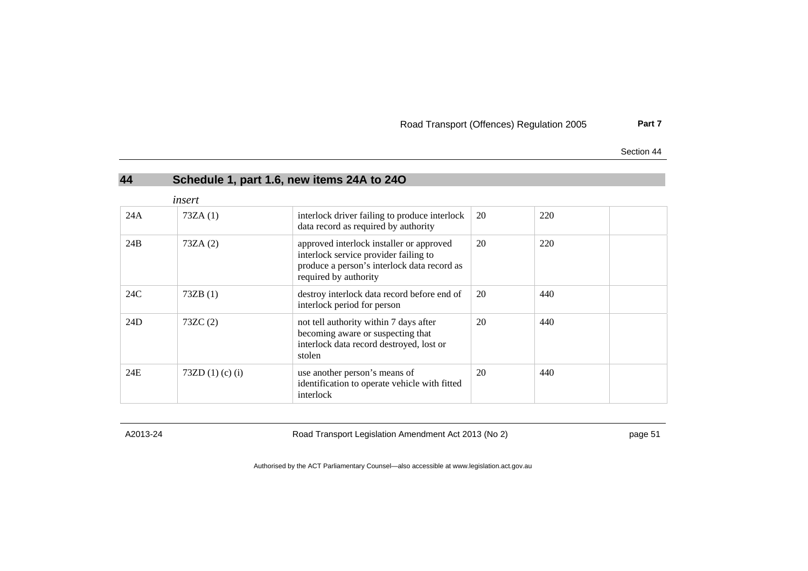Road Transport (Offences) Regulation 2005 **Part 7**

Section 44

| 44  |                      | Schedule 1, part 1.6, new items 24A to 24O                                                                                                                |    |     |  |
|-----|----------------------|-----------------------------------------------------------------------------------------------------------------------------------------------------------|----|-----|--|
|     | insert               |                                                                                                                                                           |    |     |  |
| 24A | 73ZA(1)              | interlock driver failing to produce interlock<br>data record as required by authority                                                                     | 20 | 220 |  |
| 24B | 73ZA(2)              | approved interlock installer or approved<br>interlock service provider failing to<br>produce a person's interlock data record as<br>required by authority | 20 | 220 |  |
| 24C | 73ZB(1)              | destroy interlock data record before end of<br>interlock period for person                                                                                | 20 | 440 |  |
| 24D | 73ZC(2)              | not tell authority within 7 days after<br>becoming aware or suspecting that<br>interlock data record destroyed, lost or<br>stolen                         | 20 | 440 |  |
| 24E | 73ZD $(1)$ (c) $(i)$ | use another person's means of<br>identification to operate vehicle with fitted<br>interlock                                                               | 20 | 440 |  |

<span id="page-54-0"></span>

A2013-24 Road Transport Legislation Amendment Act 2013 (No 2) page 51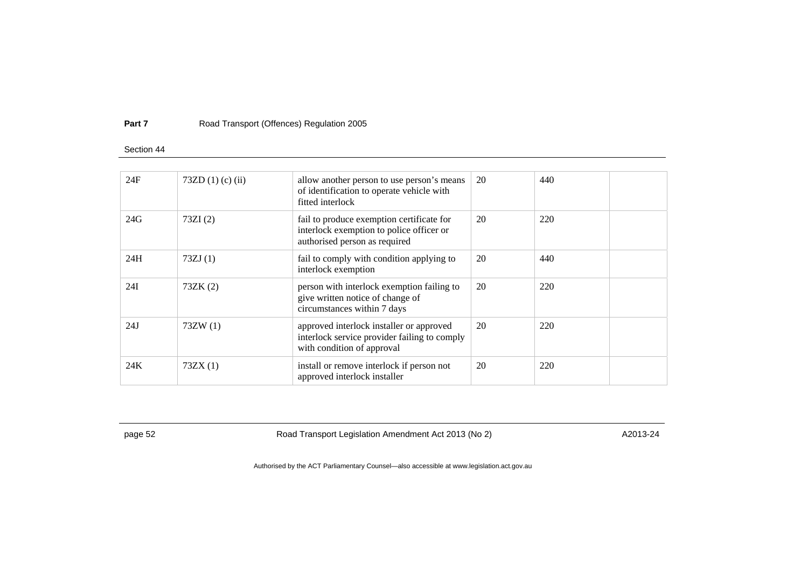#### **Part 7**Road Transport (Offences) Regulation 2005

#### Section 44

| 24F | 73ZD $(1)$ (c) $(ii)$ | allow another person to use person's means<br>of identification to operate vehicle with<br>fitted interlock            | 20 | 440 |  |
|-----|-----------------------|------------------------------------------------------------------------------------------------------------------------|----|-----|--|
| 24G | 73ZI(2)               | fail to produce exemption certificate for<br>interlock exemption to police officer or<br>authorised person as required | 20 | 220 |  |
| 24H | 73ZJ(1)               | fail to comply with condition applying to<br>interlock exemption                                                       | 20 | 440 |  |
| 24I | 73ZK(2)               | person with interlock exemption failing to<br>give written notice of change of<br>circumstances within 7 days          | 20 | 220 |  |
| 24J | 73ZW(1)               | approved interlock installer or approved<br>interlock service provider failing to comply<br>with condition of approval | 20 | 220 |  |
| 24K | 73ZX(1)               | install or remove interlock if person not<br>approved interlock installer                                              | 20 | 220 |  |
|     |                       |                                                                                                                        |    |     |  |

page 52 Road Transport Legislation Amendment Act 2013 (No 2) A2013-24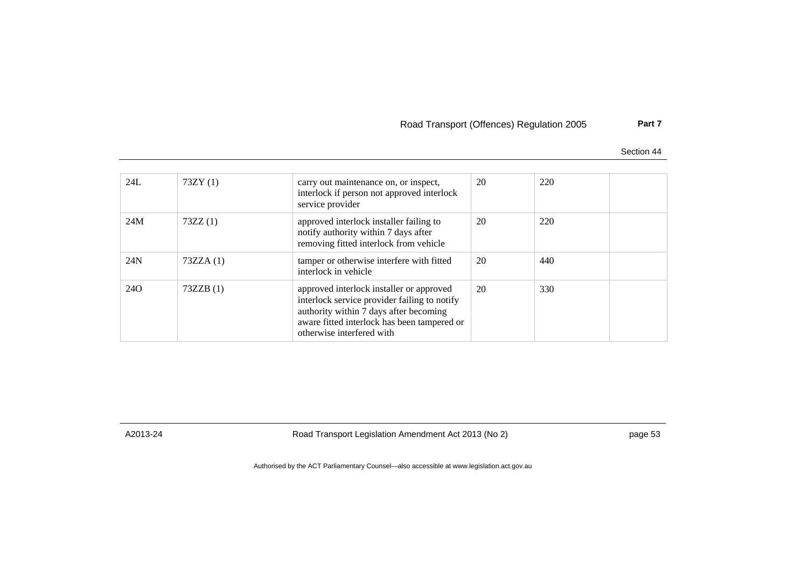#### Road Transport (Offences) Regulation 2005 **Part 7**

Section 44

| 24L             | 73ZY(1)  | carry out maintenance on, or inspect,<br>interlock if person not approved interlock<br>service provider                                                                                                        | 20 | 220 |  |
|-----------------|----------|----------------------------------------------------------------------------------------------------------------------------------------------------------------------------------------------------------------|----|-----|--|
| 24M             | 73ZZ(1)  | approved interlock installer failing to<br>notify authority within 7 days after<br>removing fitted interlock from vehicle                                                                                      | 20 | 220 |  |
| 24N             | 73ZZA(1) | tamper or otherwise interfere with fitted<br>interlock in vehicle                                                                                                                                              | 20 | 440 |  |
| 24 <sub>O</sub> | 73ZZB(1) | approved interlock installer or approved<br>interlock service provider failing to notify<br>authority within 7 days after becoming<br>aware fitted interlock has been tampered or<br>otherwise interfered with | 20 | 330 |  |

A2013-24 Road Transport Legislation Amendment Act 2013 (No 2) page 53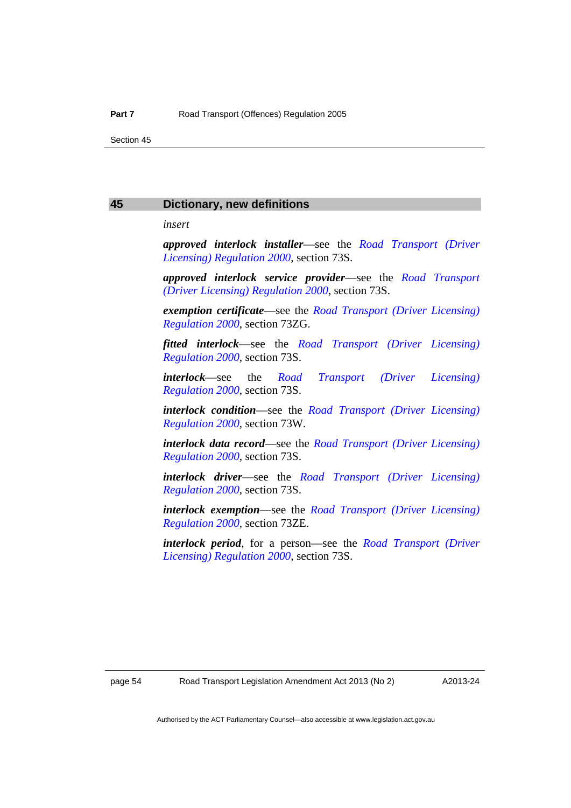#### <span id="page-57-0"></span>**45 Dictionary, new definitions**

*insert* 

*approved interlock installer*––see the *[Road Transport \(Driver](http://www.legislation.act.gov.au/sl/2000-14)  [Licensing\) Regulation 2000](http://www.legislation.act.gov.au/sl/2000-14)*, section 73S.

*approved interlock service provider*––see the *[Road Transport](http://www.legislation.act.gov.au/sl/2000-14)  [\(Driver Licensing\) Regulation 2000](http://www.legislation.act.gov.au/sl/2000-14)*, section 73S.

*exemption certificate*––see the *[Road Transport \(Driver Licensing\)](http://www.legislation.act.gov.au/sl/2000-14)  [Regulation 2000](http://www.legislation.act.gov.au/sl/2000-14)*, section 73ZG.

*fitted interlock*––see the *[Road Transport \(Driver Licensing\)](http://www.legislation.act.gov.au/sl/2000-14)  [Regulation 2000](http://www.legislation.act.gov.au/sl/2000-14)*, section 73S.

*interlock*––see the *[Road Transport \(Driver Licensing\)](http://www.legislation.act.gov.au/sl/2000-14)  [Regulation 2000](http://www.legislation.act.gov.au/sl/2000-14)*, section 73S.

*interlock condition*––see the *[Road Transport \(Driver Licensing\)](http://www.legislation.act.gov.au/sl/2000-14)  [Regulation 2000](http://www.legislation.act.gov.au/sl/2000-14)*, section 73W.

*interlock data record*––see the *[Road Transport \(Driver Licensing\)](http://www.legislation.act.gov.au/sl/2000-14)  [Regulation 2000](http://www.legislation.act.gov.au/sl/2000-14)*, section 73S.

*interlock driver*––see the *[Road Transport \(Driver Licensing\)](http://www.legislation.act.gov.au/sl/2000-14)  [Regulation 2000](http://www.legislation.act.gov.au/sl/2000-14)*, section 73S.

*interlock exemption*––see the *[Road Transport \(Driver Licensing\)](http://www.legislation.act.gov.au/sl/2000-14)  [Regulation 2000](http://www.legislation.act.gov.au/sl/2000-14)*, section 73ZE.

*interlock period*, for a person––see the *[Road Transport \(Driver](http://www.legislation.act.gov.au/sl/2000-14)  [Licensing\) Regulation 2000](http://www.legislation.act.gov.au/sl/2000-14)*, section 73S.